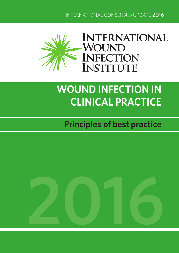INTERNATIONAL CONSENSUS UPDATE 2016



# **WOUND INFECTION IN CLINICAL PRACTICE**

## **Principles of best practice**

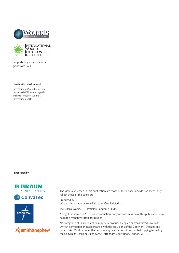



Supported by an educational grant from IWII

#### **How to cite this document**

International Wound Infection Institute (IWII) *Wound infection in clinical practice.* Wounds International 2016

**Sponsored by**









The views expressed in this publication are those of the authors and do not necessarily reflect those of the sponsors

Produced by Wounds International — a division of Omnia-Med Ltd

1.01 Cargo Works, 1–2 Hatfields, London, SE1 9PG

All rights reserved ©2016. No reproduction, copy or transmission of this publication may be made without written permission.

No paragraph of this publication may be reproduced, copied or transmitted save with written permission or in accordance with the provisions of the Copyright, Designs and Patents Act 1988 or under the terms of any licence permitting limited copying issued by the Copyright Licensing Agency, 90 Tottenham Court Road, London, W1P 0LP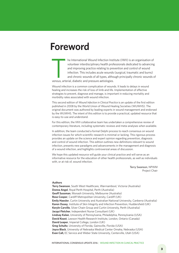### **Foreword**

he International Wound Infection Institute (IWII) is an organisation of volunteer interdisciplinary health professionals dedicated to advancing and improving practice relating to prevention and control of wound infection. This includes acute wounds (surgical, traumatic and burns) and chronic wounds of all types, although principally chronic wounds of venous, arterial, diabetic and pressure aetiologies.

Wound infection is a common complication of wounds. It leads to delays in wound healing and increases the risk of loss of limb and life. Implementation of effective strategies to prevent, diagnose and manage, is important in reducing mortality and morbidity rates associated with wound infection.

This second edition of *Wound Infection in Clinical Practice* is an update of the first edition published in 2008 by the World Union of Wound Healing Societies (WUWHS). The original document was authored by leading experts in wound management and endorsed by the WUWHS. The intent of this edition is to provide a practical, updated resource that is easy-to-use and understand.

For this edition, the IWII collaborative team has undertaken a comprehensive review of contemporary literature, including systematic reviews and meta-analyses when available.

In addition, the team conducted a formal Delphi process to reach consensus on wound infection issues for which scientific research is minimal or lacking. This rigorous process provides an update on the science and expert opinion regarding prevention, diagnosis and control of wound infection. This edition outlines new definitions relevant to wound infection, presents new paradigms and advancements in the management and diagnosis of a wound infection, and highlights controversial areas of discussion.

We hope this updated resource will guide your clinical practice and will serve as an informative resource for the education of other health professionals, as well as individuals with, or at risk of, wound infection.

> Terry Swanson, NPWM Project Chair

#### **Authors**

**Terry Swanson**, South West Healthcare, Warrnambool, Victoria (Australia) **Donna Angel**, Royal Perth Hospital, Perth (Australia) **Geoff Sussman**, Monash University, Melbourne (Australia) **Rose Cooper**, Cardiff Metropolitan University, Cardiff (UK) **Emily Haesler**, Curtin University and Australian National University, Canberra (Australia) **Karen Ousey**, Institute of Skin Integrity and Infection Prevention, Huddersfield (UK) **Keryln Carville**, Silver Chain Group and Curtin University, Perth (Australia) **Jacqui Fletcher**, Independent Nurse Consultant (UK) **Lindsay Kalan**, University of Pennsylvania, Philadelphia, Pennsylvania (USA) **David Keast**, Lawson Health Research Institute, London, Ontario (Canada) **David Leaper**, Imperial College, London (UK) **Greg Schultz**, University of Florida, Gainsville, Florida (USA) **Joyce Black**, University of Nebraska Medical Center Omaha, Nebraska (USA) **Evan Call,** EC Service and Weber State University, Centerville, Utah (USA)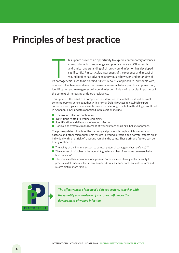### **Principles of best practice**

In this update provides an opportunity to explore contemporary advances<br>
in wound infection knowledge and practice. Since 2008, scientific<br>
and clinical understanding of chronic wound infection has developed<br>
significantly in wound infection knowledge and practice. Since 2008, scientific and clinical understanding of chronic wound infection has developed significantly.<sup>1-3</sup> In particular, awareness of the presence and impact of wound biofilm has advanced enormously; however, understanding of or at risk of, active wound infection remains essential to best practice in prevention, identification and management of wound infection. This is of particular importance in the context of increasing antibiotic resistance.

This update is the result of a comprehensive literature review that identified relevant contemporary evidence, together with a formal Delphi process to establish expert consensus on topics where scientific evidence is lacking. The full methodology is outlined in Appendix 1. Key updates appraised in this edition include:

- $\blacksquare$  The wound infection continuum
- $\blacksquare$  Definitions related to wound chronicity
- $\blacksquare$  Identification and diagnosis of wound infection
- $\blacksquare$  Topical and systemic management of wound infection using a holistic approach.

The primary determinants of the pathological process through which presence of bacteria and other microorganisms results in wound infection and harmful effects on an individual with, or at risk of, a wound remains the same. These primary factors can be briefly outlined as:

- $\blacksquare$  The ability of the immune system to combat potential pathogens (host defence)<sup>9-11</sup>
- $\blacksquare$  The number of microbes in the wound. A greater number of microbes can overwhelm host defences<sup>11</sup>
- The species of bacteria or microbe present. Some microbes have greater capacity to produce a detrimental effect in low numbers (virulence) and some are able to form and reform biofilm more rapidly.12, 13



*The effectiveness of the host's defence system, together with*  **the effectiveness of the host's defence system, togeth**<br>the quantity and virulence of microbes, influences the<br>development of wound infection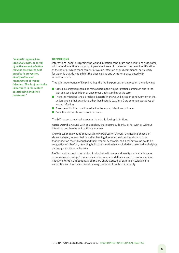*"A holistic approach to individuals with, or at risk of, active wound infection remains essential to best practice in prevention, identification and management of wound infection. This is of particular importance in the context of increasing antibiotic resistance."*

#### **DEFINITIONS**

International debate regarding the wound infection continuum and definitions associated with wound infection is ongoing. A persistent area of contention has been identification of the point at which management of wound infection should commence, particularly for wounds that do not exhibit the classic signs and symptoms associated with wound infection.

Through three rounds of Delphi voting, the IWII expert authors agreed on the following:

- $\blacksquare$  Critical colonisation should be removed from the wound infection continuum due to the lack of a specific definition or unanimous understanding of the term
- The term 'microbes' should replace 'bacteria' in the wound infection continuum, given the understanding that organisms other than bacteria (e.g. fungi) are common causatives of wound infection
- $\blacksquare$  Presence of biofilm should be added to the wound infection continuum
- $\blacksquare$  Definitions for acute and chronic wounds.

The IWII experts reached agreement on the following definitions:

Acute wound: a wound with an aetiology that occurs suddenly, either with or without intention, but then heals in a timely manner.

Chronic wound: a wound that has a slow progression through the healing phases, or shows delayed, interrupted or stalled healing due to intrinsic and extrinsic factors that impact on the individual and their wound. A chronic, non-healing wound could be suggestive of a biofilm, providing holistic evaluation has excluded or corrected underlying pathologies such as ischaemia.

Biofilm: a structured community of microbes with genetic diversity and variable gene expression (phenotype) that creates behaviours and defences used to produce unique infections (chronic infection). Biofilms are characterised by significant tolerance to antibiotics and biocides while remaining protected from host immunity.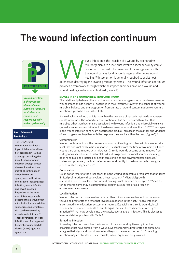### **The wound infection continuum**



*Wound infection is the presence of microbes in sufficient numbers or virulence to cause a host response locally and or systemically*

#### **Box 1: Advances in terminology**

The term 'critical colonisation' has been a topic of debate since it was first proposed in 1998 as a concept describing the identification of wound infection through clinical observation rather than microbial confirmation.1 Several terms are synonymous with critical colonisation, including local infection, topical infection and covert infection. Regardless of the term used, it is now generally accepted that a wound with microbial imbalance exhibits subtle signs and symptoms that can be observed by experienced clinicians.<sup>2, 3</sup> These covert signs of local infection are often apparent before the wound exhibits classic (overt) signs and symptoms.

ound infection is the invasion of a wound by proliferating<br>
microorganisms to a level that invokes a local and/or systemic<br>
response in the host. The presence of microorganisms within<br>
the wound causes local tissue damage microorganisms to a level that invokes a local and/or systemic response in the host. The presence of microorganisms within the wound causes local tissue damage and impedes wound healing.3, 11 Intervention is generally required to assist host

provides a framework through which the impact microbes have on a wound and wound healing can be conceptualised (Figure 1).

#### **STAGES IN THE WOUND INFECTION CONTINUUM**

The relationship between the host, the wound and microorganisms in the development of wound infection has been well described in the literature. However, the concept of wound microbial balance and the progression from a state of wound contamination to systemic infection is yet to be established fully.

It is well acknowledged that it is more than the presence of bacteria that leads to adverse events in wounds. The wound infection continuum has been updated to reflect that microbes other than bacteria are associated with wound infection, and microbial virulence (as well as numbers) contributes to the development of wound infection.2, 3, 11, 14-16 The stages in the wound infection continuum describe the gradual increase in the number and virulence of microorganisms, together with the response they invoke within the host (Figure 1).<sup>3</sup>

#### Contamination

Wound contamination is the presence of non-proliferating microbes within a wound at a level that does not evoke a host response.<sup>2,3</sup> Virtually from the time of wounding, all open wounds are contaminated with microbes. Chronic wounds become contaminated from endogenous secretions (i.e. natural flora) and exogenous microbial sources, including poor hand hygiene practised by healthcare clinicians and environmental exposure.17 Unless compromised, the host defences respond swiftly to destroy bacteria through a process called phagocytosis.18

#### Colonisation

Colonisation refers to the presence within the wound of microbial organisms that undergo limited proliferation without evoking a host reaction.<sup>3,11</sup> Microbial growth occurs at a non-critical level, and wound healing is not impeded or delayed.<sup>18, 19</sup> Sources for microorganisms may be natural flora, exogenous sources or as a result of environmental exposure.

#### Local infection

Wound infection occurs when bacteria or other microbes move deeper into the wound tissue and proliferate at a rate that invokes a response in the host.<sup>2,11</sup> Local infection is contained in one location, system or structure. Especially in chronic wounds, local wound infection often presents as subtle signs that can be considered covert signs of infection<sup>20, 21</sup> that may develop into the classic, overt signs of infection. This is discussed in more detail opposite and in Table 1.

#### Spreading infection

Spreading infection describes the invasion of the surrounding tissue by infective organisms that have spread from a wound. Microorganisms proliferate and spread, to a degree that signs and symptoms extend beyond the wound border.<sup>22, 23</sup> Spreading infection may involve deep tissue, muscle, fascia, organs or body cavities.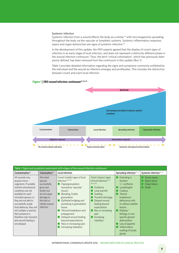#### Systemic infection

Systemic infection from a wound affects the body as a whole,<sup>22</sup> with microorganisms spreading throughout the body via the vascular or lymphatic systems. Systemic inflammatory response, sepsis and organ dysfunction are signs of systemic infection.23

In the development of this update, the IWII experts agreed that the display of covert signs of infection is an early stage of local infection, and does not represent a distinctly different phase in the wound infection continuum. Thus, the term 'critical colonisation', which has previously been poorly defined, has been removed from the continuum in this update (Box 1).

Table 1 provides detailed information regarding the signs and symptoms commonly exhibited by the individual and the wound as infection emerges and proliferates. This includes the distinction between covert and overt local infection.

#### Figure 1 | IWII wound infection continuum<sup>22, 24, 25</sup>



| Table 1: Signs and symptoms associated with stages of the wound infection continuum                                                                                                                                                                                                                                                                     |                                                                                                                                            |                                                                                                                                                                                                                                                                                                                                                                            |                                                                                                                                                                                                                                                             |                                                                                                                                                                                                                                                                                                     |                                                         |
|---------------------------------------------------------------------------------------------------------------------------------------------------------------------------------------------------------------------------------------------------------------------------------------------------------------------------------------------------------|--------------------------------------------------------------------------------------------------------------------------------------------|----------------------------------------------------------------------------------------------------------------------------------------------------------------------------------------------------------------------------------------------------------------------------------------------------------------------------------------------------------------------------|-------------------------------------------------------------------------------------------------------------------------------------------------------------------------------------------------------------------------------------------------------------|-----------------------------------------------------------------------------------------------------------------------------------------------------------------------------------------------------------------------------------------------------------------------------------------------------|---------------------------------------------------------|
| Contamination $26$                                                                                                                                                                                                                                                                                                                                      | Colonisation <sup>26</sup>                                                                                                                 | <b>Local infection</b>                                                                                                                                                                                                                                                                                                                                                     |                                                                                                                                                                                                                                                             | Spreading infection <sup>22, 23</sup>                                                                                                                                                                                                                                                               | Systemic infection <sup>22, 23</sup>                    |
| All wounds may<br>acquire micro-<br>organisms. If suitable<br>nutritive and physical<br>conditions are not<br>available for each<br>microbial species, or<br>they are not able to<br>successfully evade<br>host defences, they will<br>not multiply or persist;<br>their presence is<br>therefore only transient<br>and wound healing is<br>not delayed | Microbial<br>species<br>successfully<br>grow and<br>divide, but<br>do not cause<br>damage to<br>the host or<br>initiate wound<br>infection | Covert (subtle) signs of local<br>infection: $2, 27-36$<br>$\blacksquare$ Hypergranulation<br>(excessive 'vascular'<br>tissue)<br>Bleeding, friable<br>granulation<br>Epithelial bridging and<br>pocketing in granulation<br>tissue<br>Wound breakdown and<br>enlargement<br>Delayed wound healing<br>beyond expectations<br>New or increasing pain<br>Increasing malodour | Overt (classic) signs<br>of local infection: <sup>2, 27,</sup><br>28, 35, 36<br>Erythema<br>Local warmth<br>Swelling<br>Purulent discharge<br>Delayed wound<br>healing beyond<br>expectations<br>New or increasing<br>pain<br><b>Increasing</b><br>malodour | Extending in<br>duration<br>$+/-$ erythema<br>Lymphangitis<br>Crepitus<br>Wound<br>breakdown/<br>dehiscence with<br>or without satellite<br><i>lesions</i><br>Malaise/<br>lethargy or non-<br>specific general<br>deterioration<br>Loss of appetite<br>Inflammation.<br>swelling of lymph<br>glands | Severe sepsis<br>Septic shock<br>Organ failure<br>Death |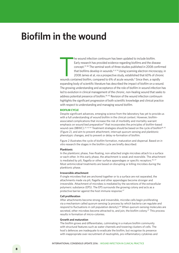### **Biofilm in the wound**

The wound infection continuum has been updated to include biofilm.<br>Early research has provided evidence regarding biofilms and the disease<br>concept.<sup>37, 38</sup> The seminal work of three studies published in 2008 confir<br>that bi he wound infection continuum has been updated to include biofilm. Early research has provided evidence regarding biofilms and the disease concept.37, 38 The seminal work of three studies published in 2008 confirmed that biofilms develop in wounds. $4, 6, 14$  Using scanning electron microscopy, in 2008 James et al, via a prospective study, established that 60% of chronic expanding body of scientific literature has described the impact of biofilm on a wound. The growing understanding and acceptance of the role of biofilm in wound infection has led to evolution in clinical management of the chronic, non-healing wound that seeks to address potential presence of biofilm.<sup>39, 40</sup> Revision of the wound infection continuum highlights the significant progression of both scientific knowledge and clinical practice with respect to understanding and managing wound biofilm.

#### **BIOFILM CYCLE**

Despite significant advances, emerging science from the laboratory has yet to provide us with a full understanding of wound biofilm in the clinical context. However, biofilmassociated complications that increase the risk of morbidity and mortality warrant emphasis on wound bed preparation<sup>41</sup> that incorporates the principles of biofilm-based wound care (BBWC).<sup>23, 42-44</sup> Treatment strategies should be based on the cycle of biofilm<sup>38, 45</sup> (Figure 2), and aim to prevent attachment, interrupt quorum sensing and planktonic phenotypic changes, and to prevent or delay re-formation of biofilm.

Figure 2 illustrates the cycle of biofilm formation, maturation and dispersal. Based on *in vitro* research the stages in the biofilm cycle are briefly described:

#### **Planktonic**

In the planktonic phase, free-floating, non-attached single microbes attach to a surface or each other. In this early phase, the attachment is weak and reversible. The attachment is mediated by pili, flagella or other surface appendages or specific receptors.<sup>46,47</sup> Most antimicrobial treatments are based on disrupting or killing microbes during the planktonic phase.

#### **Irreversible attachment**

If single microbes that are anchored together or to a surface are not separated, the attachments made via pili, flagella and other appendages become stronger and irreversible. Attachment of microbes is mediated by the secretions of the extracellular polymeric substance (EPS). The EPS surrounds the growing colony and acts as a protective barrier against the host immune response.<sup>47</sup>

#### **Cell proliferation**

After attachments become strong and irreversible, microbe cells begin proliferating via a mechanism called quorum sensing (a process by which bacteria can regulate and respond to fluctuations in cell population density).<sup>48</sup> When quorum-sensing molecules are secreted, other microbes become attracted to, and join, the biofilm colony.<sup>47</sup> This process results in formation of micro-colonies.

#### **Growth and maturation**

The biofilm grows and differentiates, culminating in a mature biofilm community with structural features such as water channels and towering clusters of cells. The host's defences are inadequate to eradicate the biofilm, but recognise its presence with inappropriate over-recruitment of neutrophils, pro-inflammatory cytokines and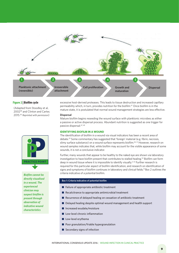

#### **Figure 2 | Biofilm cycle**

(Adapted from Stoodley et al, 200238 and Clinton and Carter, 2015.45 *Reprinted with permission*)



*Biofilm cannot be directly visualised in a wound. The experienced clinician may suspect biofilm is present through observation of indicative wound characteristics* 

excessive host-derived proteases. This leads to tissue destruction and increased capillary permeability which, in turn, provides nutrition for the biofilm.47 Once biofilm is in the mature state, it is postulated that normal wound management strategies are less effective.

#### **Dispersal**

Mature biofilm begins reseeding the wound surface with planktonic microbes as either a passive or active dispersal process. Abundant nutrition is suggested as one trigger for passive dispersal.47, 49

#### **IDENTIFYING BIOFILM IN A WOUND**

The identification of biofilm in a wound via visual indicators has been a recent area of debate.23 Some commentary has suggested that 'foreign' material (e.g. fibrin, necrosis, slimy surface substance) on a wound surface represents biofilm.<sup>50, 51</sup> However, research on wound samples indicates that, while biofilm may account for the visible appearance of some wounds, it is not a conclusive indicator.

Further, many wounds that appear to be healthy to the naked eye are shown via laboratory investigation to have biofilm present that contributes to stalled healing.<sup>52</sup> Biofilm can form deep in wound tissue where it is impossible to identify visually.<sup>5,53</sup> Further research is required for this particular aspect of biofilm identification, and research on identification of signs and symptoms of biofilm continues in laboratory and clinical fields.<sup>51</sup> Box 2 outlines the criteria indicative of a potential biofilm.

#### **Box 1: Criteria indicative of potential biofilm**

- $\blacksquare$  Failure of appropriate antibiotic treatment
- $\blacksquare$  Recalcitrance to appropriate antimicrobial treatment
- $\blacksquare$  Recurrence of delayed healing on cessation of antibiotic treatment
- $\blacksquare$  Delayed healing despite optimal wound management and health support
- $\blacksquare$  Increased exudate/moisture
- $\blacksquare$  Low-level chronic inflammation
- $\blacksquare$  Low-level erythema
- $\blacksquare$  Poor granulation/friable hypergranulation
- $\blacksquare$  Secondary signs of infection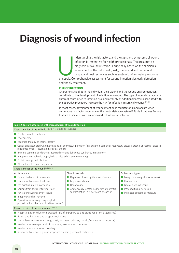## **Diagnosis of wound infection**

nderstanding the risk factors, and the signs and symptoms of wound<br>infection is imperative for health professionals. The presumptive<br>diagnosis of wound infection is principally based on the clinician's<br>assessment of the in infection is imperative for health professionals. The presumptive diagnosis of wound infection is principally based on the clinician's assessment of the individual (host), the wound and periwound tissue, and host responses such as systemic inflammatory response

and timely treatment.

#### **RISK OF INFECTION**

Characteristics of both the individual, their wound and the wound environment can contribute to the development of infection in a wound. The type of wound (i.e. acute or chronic) contributes to infection risk, and a variety of additional factors associated with the operative procedure increase the risk for infection in surgical wounds.<sup>54, 55</sup>

In most cases, development of wound infection is multifactorial and occurs when cumulative risk factors overwhelm the host's defence system.55 Table 2 outlines factors that are associated with an increased risk of wound infection.

| Table 2: Factors associated with increased risk of wound infection                                                                                                                                                                                                                                                                                                                       |                                                                                                                                                |                                     |  |  |  |
|------------------------------------------------------------------------------------------------------------------------------------------------------------------------------------------------------------------------------------------------------------------------------------------------------------------------------------------------------------------------------------------|------------------------------------------------------------------------------------------------------------------------------------------------|-------------------------------------|--|--|--|
| Characteristics of the individual <sup>21, 40, 41, 56-60</sup> 21, 40, 41, 54, 55, 58, 61-66                                                                                                                                                                                                                                                                                             |                                                                                                                                                |                                     |  |  |  |
| Poorly controlled diabetes                                                                                                                                                                                                                                                                                                                                                               |                                                                                                                                                |                                     |  |  |  |
| Prior surgery                                                                                                                                                                                                                                                                                                                                                                            |                                                                                                                                                |                                     |  |  |  |
| Radiation therapy or chemotherapy                                                                                                                                                                                                                                                                                                                                                        |                                                                                                                                                |                                     |  |  |  |
| renal impairment, rheumatoid arthritis, shock)                                                                                                                                                                                                                                                                                                                                           | ■ Conditions associated with hypoxia and/or poor tissue perfusion (e.g. anaemia, cardiac or respiratory disease, arterial or vascular disease, |                                     |  |  |  |
| Immune system disorders (e.g. acquired immune deficiency syndrome, malignancy)                                                                                                                                                                                                                                                                                                           |                                                                                                                                                |                                     |  |  |  |
| Inappropriate antibiotic prophylaxis, particularly in acute wounding                                                                                                                                                                                                                                                                                                                     |                                                                                                                                                |                                     |  |  |  |
| Protein-energy malnutrition                                                                                                                                                                                                                                                                                                                                                              |                                                                                                                                                |                                     |  |  |  |
| Alcohol, smoking and drug abuse                                                                                                                                                                                                                                                                                                                                                          |                                                                                                                                                |                                     |  |  |  |
| Characteristics of the wound <sup>21, 40, 54, 55</sup>                                                                                                                                                                                                                                                                                                                                   |                                                                                                                                                |                                     |  |  |  |
| Acute wounds                                                                                                                                                                                                                                                                                                                                                                             | Chronic wounds                                                                                                                                 | Both wound types                    |  |  |  |
| ■ Contaminated or dirty wounds                                                                                                                                                                                                                                                                                                                                                           | Degree of chronicity/duration of wound<br>m.                                                                                                   | Foreign body (e.g. drains, sutures) |  |  |  |
| $\blacksquare$ Trauma with delayed treatment                                                                                                                                                                                                                                                                                                                                             | $\blacksquare$ Large wound area                                                                                                                | $\blacksquare$ Haematoma            |  |  |  |
| $\blacksquare$ Pre-existing infection or sepsis                                                                                                                                                                                                                                                                                                                                          | Necrotic wound tissue<br>Deep wound                                                                                                            |                                     |  |  |  |
| ■ Spillage from gastro-intestinal tract                                                                                                                                                                                                                                                                                                                                                  | Anatomically located near a site of potential<br>Inpaired tissue perfusion                                                                     |                                     |  |  |  |
| Penetrating wounds over 4 hours                                                                                                                                                                                                                                                                                                                                                          | contamination (e.g. perineum or sacrum)<br>Increased exudate or moisture                                                                       |                                     |  |  |  |
| Inappropriate hair removal                                                                                                                                                                                                                                                                                                                                                               |                                                                                                                                                |                                     |  |  |  |
| ■ Operative factors (e.g. long surgical<br>procedure, hypothermia, blood transfusion)                                                                                                                                                                                                                                                                                                    |                                                                                                                                                |                                     |  |  |  |
| Characteristics of the environment <sup>21, 40, 66</sup>                                                                                                                                                                                                                                                                                                                                 |                                                                                                                                                |                                     |  |  |  |
| ■ Hospitalisation (due to increased risk of exposure to antibiotic resistant organisms)<br>Poor hand hygiene and aseptic technique<br>■ Unhygienic environment (e.g. dust, unclean surfaces, mould/mildew in bathrooms)<br>■ Inadequate management of moisture, exudate and oedema<br>Inadequate pressure off-loading<br>Repeated trauma (e.g. inappropriate dressing removal technique) |                                                                                                                                                |                                     |  |  |  |
|                                                                                                                                                                                                                                                                                                                                                                                          |                                                                                                                                                |                                     |  |  |  |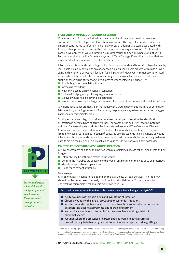#### **SIGNS AND SYMPTOMS OF WOUND INFECTION**

Characteristics of both the individual, their wound and the wound environment can contribute to the development of infection in a wound. The type of wound (i.e. acute or chronic) contributes to infection risk, and a variety of additional factors associated with the operative procedure increase the risk for infection in surgical wounds.<sup>54, 55</sup> In most cases, development of wound infection is multifactorial and occurs when cumulative risk factors overwhelm the host's defence system.55 Table 2 (page 10) outlines factors that are associated with an increased risk of wound infection.

Infection in acute wounds (including surgical/traumatic wounds and burns) in otherwise healthy individuals is usually obvious to an experienced clinician. Individuals present with classic (overt) signs and symptoms of wound infection (Table 1, page 8).<sup>23</sup> However, in immunocompromised individuals and those with chronic wounds, early detection of infection relies on identification of subtle or covert signs of infection. Covert signs of wound infection include:<sup>2, 27-36</sup>

- $\blacksquare$  Friable, bright red granulation tissue
- $\blacksquare$  Increasing malodour
- $\blacksquare$  New or increased pain or change in sensation
- $\blacksquare$  Epithelial bridging and pocketing in granulation tissue
- $\blacksquare$  Delayed wound healing beyond expectations
- **n** Wound breakdown and enlargement or new ulcerations of the peri-wound (satellite lesions).

Clinicians need to act promptly if an individual with a wound demonstrates signs of potentially fatal infection, including systemic inflammatory response, sepsis, extensive tissue necrosis, gas gangrene or necrotising fasciitis.

Scoring systems and diagnostic criteria have been developed to assist in the identification of infection in specific types of acute wounds. For example, the ASEPSIS<sup>67</sup> scoring system is validated for assessing surgical site infection in sternal wounds.<sup>68</sup> The Centers for Disease Control and Prevention have developed definitions for wound infection; however, they are limited to types of surgical site infection.<sup>69</sup> Validated scoring systems to aid diagnosis of wound infection in chronic wounds have not yet been developed. If a wound infection scoring system is used to aid diagnosis, it should be reliable and valid for the type of wound being assessed.<sup>68</sup>

#### **INVESTIGATIONS TO DIAGNOSE WOUND INFECTION**

Clinical assessment can be supplemented with microbiological investigation, blood tests and/or imaging to:

- $\blacksquare$  Establish specific pathogen strains in the wound
- $\blacksquare$  Confirm the microbes are sensitive to the type of antibiotics commenced or to be prescribed
- $\blacksquare$  Identify any possible complications
- **n** Guide management strategies.

#### *Microbiology*

Microbiological investigations depend on the availability of local services. Microbiology should not be undertaken routinely or without substantial cause.70-72 Indications for undertaking microbiological analysis are provided in Box 3.

#### Box 2: Indications for wound specimen collection for standard microbiological analysis<sup>22, 72</sup>

- $\blacksquare$  Acute wounds with classic signs and symptoms of infection
- Chronic wounds with signs of spreading or systemic<sup>\*</sup> infection $\updownarrow$
- $\blacksquare$  Infected wounds that have failed to respond to antimicrobial intervention, or are deteriorating despite appropriate antimicrobial treatment
- $\blacksquare$  In compliance with local protocols for the surveillance of drug-resistant microbial species
- $\blacksquare$  Wounds where the presence of certain species would negate a surgical procedure (e.g. beta haemolytic streptococci in wounds prior to skin grafting)

\* In individuals showing signs of sepsis, blood cultures are also indicated, and other likely sites of infection should be considered for sampling ‡ In patients with compromised immune competency (e.g. those taking immunosuppressants or corticosteroids, or with diabetes mellitus or arterial peripheral disease), consider sampling chronic wounds with signs of local wound infection and/or delayed healing



*Do not undertake microbiological analysis of wound specimens in the absence of an appropriate indication*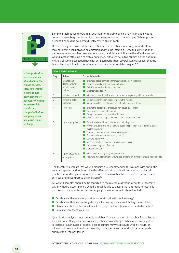

*It is important to recover species at and below the wound surface, therefore wound cleansing and debridement (if necessary) without antimicrobials should be completed before sampling when using the Levine technique*

Sampling techniques to obtain a specimen for microbiological analysis include wound culture or swabbing the wound bed, needle aspiration and tissue biopsy. Where pus is present it should be collected directly by syringe or swab.

Despite being the most widely used technique for microbial monitoring, wound culture may not distinguish between colonisation and wound infection.73 Unequal distribution of pathogens in wounds has been demonstrated,<sup>5</sup> and this can influence the effectiveness of a wound swab in attaining a microbial specimen. Although definitive studies on the optimum method of sample collection have not yet been performed, several studies suggest that the Levine technique (Table 3) is more effective than the Z-swab technique.<sup>73-75</sup>

|                | Table 3: Levine technique                                 |                                                                                                                                                                                                                                                                                                                                                                                                    |  |  |
|----------------|-----------------------------------------------------------|----------------------------------------------------------------------------------------------------------------------------------------------------------------------------------------------------------------------------------------------------------------------------------------------------------------------------------------------------------------------------------------------------|--|--|
| Step           | Action                                                    | Further information                                                                                                                                                                                                                                                                                                                                                                                |  |  |
| 1              | Cleanse and<br>debride wound<br>prior to wound<br>culture | Inform and seek permission from patient to obtain specimen<br>Cleanse wound using warm normal saline<br>Debride non-viable tissue as required<br>Cleanse wound again                                                                                                                                                                                                                               |  |  |
| $\overline{2}$ | Moisten culture tip                                       | Moisten culture tip with sterile normal saline, especially with dry wounds                                                                                                                                                                                                                                                                                                                         |  |  |
| 3              | Where to obtain<br>specimen                               | Obtain specimen from cleanest area in the wound<br>Where possible, do not obtain from slough or necrotic tissue                                                                                                                                                                                                                                                                                    |  |  |
| $\overline{4}$ | Technique                                                 | Inform the patient that procedure may cause discomfort<br>Place wound culture into wound<br>Firmly press swab into wound and rotate<br>Using a sterile technique, place swab into culture container                                                                                                                                                                                                |  |  |
| 5              | Label appropriately                                       | Patient label on culture container and pathology slip<br>Provide site, time and initials of who obtained specimen (e.g. left medial distal<br>malleolus wound)<br>Provide as much relevant history as appropriate:<br>Current antibiotic or medication (steroid)<br>Comorbidity (DM)<br>Specific microbe suspected (Pseudomonas aeruginosa)<br>Provisional diagnosis of wound<br>Duration of wound |  |  |
| 6              | Apply dressing as<br>appropriate                          | Medicated dressings may be appropriate<br>Moisture management and wound bed preparation principles should be adhered to                                                                                                                                                                                                                                                                            |  |  |

The literature suggests that wound biopsies are recommended for wounds with antibioticresistant species and to determine the effect of antimicrobial intervention. In clinical practice, wound biopsies are rarely performed on a routine basis<sup>73</sup> due to cost, access to services and discomfort to the individual.<sup>76</sup>

All wound samples should be transported to the microbiology laboratory for processing within 4 hours, accompanied by full clinical details to ensure that appropriate testing is performed. Documentation accompanying the wound sample should include:<sup>77</sup>

- $\blacksquare$  Details about the wound (e.g. anatomical location, duration and aetiology)
- Details about the individual (e.g. demographics and significant contributing comorbidities)
- Clinical indication for the wound sample (e.g. signs and symptoms and suspected microbes)
- $\blacksquare$  Current or recent antibiotic use.

Quantitative analysis is not routinely available. Characterisation of microbial flora takes at least 24 hours (longer for anaerobes, mycobacteria and fungi). When rapid investigation is required (e.g. in cases of sepsis) a blood culture may yield results within 4 hours, or microscopic examination of specimens by more specialised laboratory staff may guide antimicrobial therapy faster.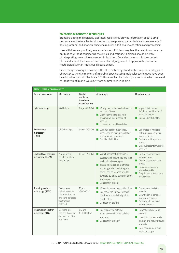#### **EMERGING DIAGNOSTIC TECHNIQUES**

Standard clinical microbiology laboratory results only provide information about a small percentage of the total bacterial species that are present, particularly in chronic wounds.<sup>77</sup> Testing for fungi and anaerobic bacteria requires additional investigations and processing.

If sensitivities are provided, less experienced clinicians may feel the need to commence antibiotics without considering the clinical indications. Clinicians should be wary of interpreting a microbiology report in isolation. Consider the report in the context of the individual, their wound and your clinical judgement. If appropriate, consult a microbiologist or an infectious disease expert.

Since many microorganisms are difficult to culture by standard techniques, strategies to characterise genetic markers of microbial species using molecular techniques have been developed in specialist facilities.78-80 These molecular techniques, some of which are used to identify biofilm in a wound.<sup>81-83</sup> are summarised in Table 4.

| Table 4: Types of microscopy <sup>81-83</sup> |                                                                                                           |                                                      |                                                                                                                                                                                                                                                                                                                      |                                                                                                                                                                               |
|-----------------------------------------------|-----------------------------------------------------------------------------------------------------------|------------------------------------------------------|----------------------------------------------------------------------------------------------------------------------------------------------------------------------------------------------------------------------------------------------------------------------------------------------------------------------|-------------------------------------------------------------------------------------------------------------------------------------------------------------------------------|
| Type of microscopy                            | Mechanism                                                                                                 | Limit of<br>resolution<br>(maximum<br>magnification) | Advantages                                                                                                                                                                                                                                                                                                           | Disadvantages                                                                                                                                                                 |
| Light microscopy                              | Visible light                                                                                             | $0.2 \,\mu m$ (1500x)                                | Mostly used on isolated cultures or<br>sections of tissue<br><b>Gram stain used to establish</b><br>presumptive identification of<br>species<br>Low-cost and readily available                                                                                                                                       | $\blacksquare$ Impossible to obtain<br>definitive identification of<br>microbial species<br>Cannot identify biofilm                                                           |
| Fluorescence<br>microscopy<br>(FISH)          | Ultraviolet light                                                                                         | $0.1 \mu m (2000x)$                                  | With fluorescent dyes/labels,<br>species can be identified and their<br>relative locations mapped<br>$\blacksquare$ Can identify biofilm                                                                                                                                                                             | Use limited to microbial<br>cell suspensions and thin<br>tissue sections<br>Cost of specific dyes and<br>probes<br>Only fluorescent structures<br>observed                    |
| Confocal laser scanning<br>microscopy (CLSM)  | A laser beam<br>coupled to a light<br>microscope                                                          | $0.1 \mu m (2000x)$                                  | With fluorescent dyes/labels,<br>species can be identified and their<br>relative locations mapped<br>$\blacksquare$ Tissue blocks can be examined<br>and images obtained at regular<br>depths can be reconstructed to<br>generate 2D or 3D structure of the<br>whole specimen<br>$\blacksquare$ Can identify biofilm | Cost of equipment and<br>technical support<br>Cost of specific dyes and<br>probes<br>Fluorescence decays<br>relatively quickly<br>Only fluorescent structures<br>are observed |
| Scanning electron<br>microscopy (SEM)         | Electrons are<br>beamed onto the<br>specimen from an<br>angle and deflected<br>electrons are<br>collected | $10 \mu m$<br>(500,000x)                             | Minimal sample preparation time<br>Inages of the surface layers of<br>specimens provide insight into<br>3D structure<br>$\blacksquare$ Can identify biofilm                                                                                                                                                          | Cannot examine living<br>material<br>Dehydration of samples<br><b>COL</b><br>may cause changes<br>Cost of equipment and<br>technical support                                  |
| Transmission electron<br>microscopy (TEM)     | Flectrons are<br>beamed through a<br>thin section of the<br>specimen                                      | $0.2 \mu m$<br>(5,000,000x)                          | Images provide detailed<br>information on internal cellular<br>structures<br>$\blacksquare$ Can identify biofilm <sup>84</sup>                                                                                                                                                                                       | Cannot examine living<br>material<br>Specimen preparation is<br>lengthy, and may introduce<br>artefacts<br>Cost of equipment and<br>technical support                         |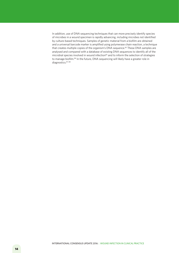In addition, use of DNA sequencing techniques that can more precisely identify species of microbes in a wound specimen is rapidly advancing, including microbes not identified by culture-based techniques. Samples of genetic material from a biofilm are obtained and a universal barcode marker is amplified using polymerase chain reaction, a technique that creates multiple copies of the organism's DNA sequence.<sup>85</sup> These DNA samples are analysed and compared with a database of existing DNA sequences to identify all of the microbial species involved in wound infection<sup>85</sup> and to inform the selection of strategies to manage biofilm.<sup>86</sup> In the future, DNA sequencing will likely have a greater role in diagnostics. 87, 88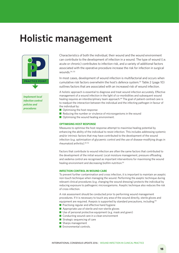### **Holistic management**



*Implement local infection control policies and procedures*

Characteristics of both the individual, their wound and the wound environment can contribute to the development of infection in a wound. The type of wound (i.e. acute or chronic) contributes to infection risk, and a variety of additional factors associated with the operative procedure increase the risk for infection in surgical wounds. $54, 55$ 

In most cases, development of wound infection is multifactorial and occurs when cumulative risk factors overwhelm the host's defence system.55 Table 2 (page 10) outlines factors that are associated with an increased risk of wound infection.

A holistic approach is essential to diagnose and treat wound infection accurately. Effective management of a wound infection in the light of co-morbidities and subsequent wound healing requires an interdisciplinary team approach.<sup>89</sup> The goal of patient-centred care is to readjust the interaction between the individual and the infecting pathogen in favour of the individual by:

- $\blacksquare$  Optimising the host response
- $\blacksquare$  Reducing the number or virulence of microorganisms in the wound
- $\blacksquare$  Optimising the wound healing environment.

#### **OPTIMISING HOST RESPONSE**

Measures to optimise the host response attempt to maximise healing potential by enhancing the ability of the individual to resist infection. This includes addressing systemic and/or intrinsic factors that may have contributed to the development of the wound infection (e.g. optimisation of glycaemic control and the use of disease-modifying drugs in rheumatoid arthritis).90-92

Factors that contribute to wound infection are often the same factors that contributed to the development of the initial wound. Local moisture management, pressure offloading and oedema control are recognised as important interventions for maximising the wound healing environment and decreasing biofilm nutrition.<sup>93</sup>

#### **INFECTION CONTROL IN WOUND CARE**

To prevent further contamination and cross infection, it is important to maintain an aseptic non-touch technique when managing the wound. Performing the aseptic technique during relevant clinical procedures (e.g. changing the wound dressing) protects the individual by reducing exposure to pathogenic microorganisms. Aseptic technique also reduces the risk of cross infection.

A risk assessment should be conducted prior to performing wound management procedures. If it is necessary to touch any area of the wound directly, sterile gloves and equipment are required. Asepsis is supported by standard precautions, including:94

- $\blacksquare$  Practising regular and effective hand hygiene
- $\blacksquare$  Appropriate use of sterile and non-sterile gloves
- $\blacksquare$  Use of personal protective equipment (e.g. mask and gown)
- $\blacksquare$  Conducting wound care in a clean environment
- $\blacksquare$  Strategic sequencing of care
- $\blacksquare$  Sharps management
- $\blacksquare$  Environmental controls.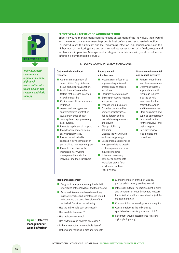

 *Individuals with severe sepsis require immediate, high-level resuscitation with fluids, oxygen and systemic antibiotic therapy*

#### **EFFECTIVE MANAGEMENT OF WOUND INFECTION**

Effective wound management requires holistic assessment of the individual, their wound and the wound care environment to promote host defence and response to infection. For individuals with significant and life-threatening infection (e.g. sepsis), admission to a higher level of monitoring/care and with immediate resuscitation with fluids, oxygen and antibiotics is imperative. Management strategies for individuals with, or at risk of, wound infection is summarised in Figure 3.

#### EFFECTIVE WOUND INFECTION MANAGEMENT

#### **Optimise individual host response**

**n** Optimise management of comorbidities (e.g. diabetes, tissue perfusion/oxygenation)  $\blacksquare$  Minimise or eliminate risk factors that increase infection

risk where feasible

hydration

pain, pyrexia)

 $\blacksquare$  Optimise nutritional status and

 $\blacksquare$  Promote psychosocial support  $\blacksquare$  Provide appropriate systemic antimicrobial therapy  $\blacksquare$  Ensure the individual is

engaged in development of an personalised management plan  $\blacksquare$  Promote education by the interdisciplinary wound management team to the individual and their caregivers

 $\blacksquare$  Assess and manage other anatomical sites of infection (e.g. urinary tract, chest)  $\blacksquare$  Treat systemic symptoms (e.g.

#### **Reduce wound microbial load**

- $\blacksquare$  Prevent cross infection by implementing universal precautions and aseptic technique
- $\blacksquare$  Facilitate wound drainage
- $\blacksquare$  Ensure peri-wound hygiene and protection
- $\blacksquare$  Manage wound exudate
- $\Box$  Optimise the wound bed:
- Remove necrotic tissue. debris, foreign bodies, wound dressing remnants and slough
- Disrupt biofilm by debriding
- Cleanse the wound with each dressing change
- $\blacksquare$  Use appropriate dressings to manage exudate – a dressing containing an antimicrobial may be considered
- $\blacksquare$  If deemed necessary, consider an appropriate topical antiseptic for a short period for time (e.g. 2 weeks)

#### **Promote environmental and general measures**

- $\blacksquare$  Perform wound care in a clean environment
- $\blacksquare$  Determine that the appropriate aseptic technique required is based on risk assessment of the patient, the wound and the environment
- $\blacksquare$  Store equipment and supplies appropriately
- $\blacksquare$  Provide education for the individual and their caregivers
- $\blacksquare$  Regularly review local policies and procedures

#### **Regular reassessment**

- $\blacksquare$  Diagnostic interpretation requires holistic knowledge of the individual and their wound
- $\blacksquare$  Evaluate interventions based on efficacy in resolving signs and symptoms of wound infection and the overall condition of the individual. Consider the following:
- Has the individual's pain decreased?
- Has exudate decreased?
- Has malodour resolved?
- Has erythema and oedema decreased?
- Is there a reduction in non-viable tissue?
- Is the wound reducing in size and/or depth?
- $\blacksquare$  Monitor condition of the peri-wound, particularly in heavily exuding wounds
- $\blacksquare$  If there is limited or no improvement in signs and symptoms of wound infection, reassess the individual and their wound and adjust the management plan
- $\blacksquare$  Consider if further investigations are required
- $\blacksquare$  Consider referring the individual to specialised services (e.g. a wound clinic)
- $\blacksquare$  Document wound assessments (e.g. serial digital photography)

**Figure 3 | Effective management of**  wound infection<sup>95</sup>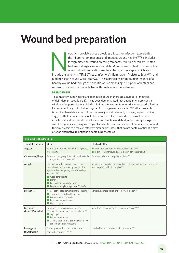# **Wound bed preparation**

ecrotic, non-viable tissue provides a focus for infection, exacerbates<br>the inflammatory response and impedes wound healing.<sup>12</sup> This include<br>foreign material (wound dressing remnants, multiple organism-relat<br>biofilm or slo the inflammatory response and impedes wound healing.<sup>12</sup> This includes foreign material (wound dressing remnants, multiple organism-related biofilm or slough, exudate and debris) on the wound bed. The principles of wound bed preparation are the entrenched concepts, which also include the acronyms TIME (Tissue; Infection/Inflammation; Moisture; Edge)<sup>23, 96</sup> and Biofilm-based Wound Care (BBWC).<sup>97</sup> These principles promote maintenance of a healthy wound bed through therapeutic wound cleansing, disruption of biofilm and removal of necrotic, non-viable tissue through wound debridement.

#### **DEBRIDEMENT**

To stimulate wound healing and manage bioburden there are a number of methods of debridement (see Table 5). It has been demonstrated that debridement provides a window of opportunity in which the biofilm defences are temporarily interrupted, allowing increased efficacy of topical and systemic management strategies.13 Further research is required to establish the optimal frequency of debridement; however, expert opinion suggests that debridement should be performed at least weekly. To disrupt biofilm attachment and prevent dispersal, use a combination of debridement strategies together with therapeutic cleansing with topical antiseptics and application of antimicrobial wound therapy dressings.12, 98 New, effective biofilm disruptors that do not contain antiseptic may offer an alternative to antiseptic-containing therapies.

| Table 5: Types of debridement     |                                                                                                                                                                                                                                                                        |                                                                                                                                         |  |  |
|-----------------------------------|------------------------------------------------------------------------------------------------------------------------------------------------------------------------------------------------------------------------------------------------------------------------|-----------------------------------------------------------------------------------------------------------------------------------------|--|--|
| Type of debridement               | Method                                                                                                                                                                                                                                                                 | Effect on biofilm                                                                                                                       |  |  |
| Surgical                          | Performed in the operating room using scalpel<br>and scissors <sup>91, 99</sup>                                                                                                                                                                                        | Disrupts biofilm and removes foci of infection <sup>99</sup><br>If all tissue is removed, deeper biofilm can be disrupted <sup>99</sup> |  |  |
| Conservative/sharp                | Performed using aseptic technique with sterile<br>curette, scalpel and scissors <sup>91, 99</sup>                                                                                                                                                                      | Removes and disrupts superficial biofilm <sup>99</sup>                                                                                  |  |  |
| Autolytic                         | Selective, slow debridement that occurs<br>naturally and can be aided by using topical<br>agents and contemporary wound dressings,<br>including: <sup>91, 99</sup><br>Cadexomer jodine<br>Honey<br>Fibre gelling wound dressings<br>Polyhexamethylene biguanide (PHMB) | Varying efficacy on biofilm depending on the product and the phase of the<br>biofilm cycle in which it is applied <sup>99</sup>         |  |  |
| Mechanical                        | Non-selective debridement performed using:99<br>$\blacksquare$ Therapeutic irrigation (4 to 15 psi)<br>Monofilament fibre pads<br>Low-frequency ultrasound<br>Hydrosurgery                                                                                             | Some levels of disruption and removal of biofilm <sup>99</sup>                                                                          |  |  |
| Enzymatic/<br>chemical/surfactant | Application of exogenous enzymes or<br>chemicals to the wound surface, including: <sup>99</sup><br>Alginogel<br>Enzymatic debriders<br>Wound cleaners and gels with high or low<br>concentrations of surfactant                                                        | Some levels of disruption and removal of biofilm <sup>99,106</sup>                                                                      |  |  |
| Biosurgical/<br>larval therapy    | Sterile fly larvae that produce a mixture of<br>proteolytic enzymes <sup>91, 100, 101</sup>                                                                                                                                                                            | Good evidence of removal of biofilm in vitro <sup>100, 101</sup>                                                                        |  |  |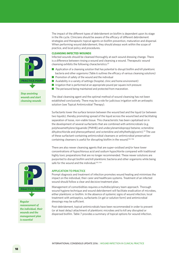The impact of the different types of debridement on biofilm is dependent upon its stage in the life cycle. Clinicians should be aware of the efficacy of different debridement strategies and therapeutic topical agents on biofilm prevention, maturation and dispersal. When performing wound debridement, they should always work within the scope of practice, and local policy and procedures.

#### **CLEANSING INFECTED WOUNDS**

Infected wounds should be cleansed thoroughly at each wound dressing change. There is a difference between rinsing a wound and cleansing a wound. Therapeutic wound cleansing exhibits the following characteristics:23

- $\blacksquare$  Application of a cleansing solution that has potential to disrupt biofilm and kill planktonic bacteria and other organisms (Table 6 outlines the efficacy of various cleansing solutions)  $\blacksquare$  Promotion of safety of the wound and the individual
- Availability in a variety of settings (hospital, clinic and home environment)
- $\blacksquare$  Irrigation that is performed at an appropriate pound per square inch pressure
- $\blacksquare$  The periwound being maintained and protected from maceration.

The ideal cleansing agent and the optimal method of wound cleansing has not been established conclusively. There may be a role for judicious irrigation with an antiseptic solution (see Topical Antimicrobial Therapy).

Surfactants lower the surface tension between the wound bed and the liquid (or between two liquids), thereby promoting spread of the liquid across the wound bed and facilitating separation of loose, non-viable tissue. This characteristic has been capitalised on in the development of several surfactants that are combined with antimicrobials (e.g. polyhexamethylene biguanide [PMHB] and undecylenamidopropyl betaine; octenidine dihydrochloride and phenoxyethanol; and octenidine and ethylhethylglycerin).<sup>23</sup> The use of these surfactant-containing antimicrobial cleansers or antimicrobial preservativecontaining cleansers is useful for disrupting biofilm in the wound.<sup>102, 106</sup>

There are also newer cleansing agents that are super-oxidised and/or have lower concentrations of hypochlorous acid and sodium hypochlorite compared with traditional highly toxic preparations that are no longer recommended. These newer solutions are purported to disrupt biofilm and kill planktonic bacteria and other organisms while being safe for the wound and the individual.<sup>103, 104</sup>

#### **APPLICATION TO PRACTICE**

Prompt diagnosis and treatment of infection promotes wound healing and minimises the impact on the individual, their carer and healthcare systems. Treatment of an infected wound should follow a clear and decisive treatment plan.

Management of comorbidities requires a multidisciplinary team approach. Thorough wound hygiene technique and wound debridement will facilitate eradication of microbes, either planktonic or biofilm. In the absence of systemic signs of wound infection, local treatment with antiseptics, surfactants (in gel or solution form) and antimicrobial dressings may be sufficient.

Post-debridement, topical antimicrobials have been recommended in order to prevent (or at least delay) attachment of planktonic microbes and to kill any disrupted or dispersed biofilm. Table 7 provides a summary of topical options for wound infection.



*Stop anointing wounds and start cleansing wounds*



*Regular reassessment of the individual, their wounds and the management plan is essential*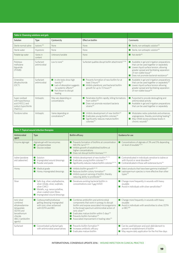| Table 6: Cleansing solutions and gels                                                    |                             |                                                                                                                                                                            |                                                                                                                                                                                  |                                                                                                                                                                                                                                                                               |
|------------------------------------------------------------------------------------------|-----------------------------|----------------------------------------------------------------------------------------------------------------------------------------------------------------------------|----------------------------------------------------------------------------------------------------------------------------------------------------------------------------------|-------------------------------------------------------------------------------------------------------------------------------------------------------------------------------------------------------------------------------------------------------------------------------|
| Solution                                                                                 | Type                        | Cytotoxicity                                                                                                                                                               | Effect on biofilm                                                                                                                                                                | Comments                                                                                                                                                                                                                                                                      |
| Sterile normal saline                                                                    | Isotonic <sup>105</sup>     | <b>None</b>                                                                                                                                                                | <b>None</b>                                                                                                                                                                      | Sterile, non-antiseptic solution <sup>103</sup>                                                                                                                                                                                                                               |
| Sterile water                                                                            | Hypotonic                   | <b>None</b>                                                                                                                                                                | <b>None</b>                                                                                                                                                                      | Sterile, non-antiseptic solution <sup>103</sup>                                                                                                                                                                                                                               |
| Potable tap water                                                                        | Varies in<br>content        | Unknown/variable                                                                                                                                                           | <b>None</b>                                                                                                                                                                      | $\blacksquare$ Not sterile <sup>103</sup>                                                                                                                                                                                                                                     |
| Polyhexa-<br>methylene<br>biguanide<br>(PHMB)                                            | Surfactant<br>antimicrobial | $1$ ow to none <sup>23</sup>                                                                                                                                               | Surfactant qualities disrupt biofilm attachments <sup>23,106</sup>                                                                                                               | Available in gel and irrigation preparations<br>that can be used together or separately<br>Lowers liquid surface tension, allowing<br>greater spread and facilitating separation<br>of non-viable tissue <sup>23</sup><br>Does not promote bacterial resistance <sup>23</sup> |
| Octenidine<br>dihydrochloride<br>(OCT)                                                   | Surfactant<br>antimicrobial | $\blacksquare$ In vitro tests show high<br>toxicity <sup>107</sup><br>Lack of absorption suggests<br>no systemic effects <sup>107</sup><br>Not shown to disrupt<br>healing | $\blacksquare$ Prevents formation of new biofilm for at<br>least 3 hours <sup>108</sup><br>Inhibits planktonic and bacterial biofilm<br>growth for up to 72 hours <sup>108</sup> | Available in gel and irrigation preparations<br>that can be used together or separately <sup>107</sup><br>Lowers liquid surface tension allowing<br>greater spread and facilitating separation<br>of non-viable tissue <sup>108</sup>                                         |
| Super-oxidised<br>with hypochlorous<br>acid (HOCL) and<br>sodium hypochlorite<br>(NaOCL) | Antiseptic                  | May vary depending on<br>concentrations                                                                                                                                    | Penetrates biofilm rapidly, killing formations<br>from within <sup>103</sup><br>Does not promote resistant bacteria<br>strains <sup>103</sup>                                    | Purported to provide desloughing and<br>antimicrobial activity<br>Available in gel and irrigation preparations<br>that can be used together or separately                                                                                                                     |
| Povidone jodine                                                                          | Antiseptic                  | Varies depending on<br>concetrations <sup>108</sup>                                                                                                                        | Inhibits development of new biofilm <sup>110</sup><br>Eradicates young biofilm colonies <sup>110</sup><br>Significantly reduces mature biofilm<br>colonies <sup>110</sup>        | Modulates redox potentials and enhances<br>angiogenesis, thereby promoting healing <sup>111</sup><br>May inhibit excess protease levels in<br>chronic wounds <sup>111</sup>                                                                                                   |

|                                                                                                                                         | Table 7: Topical wound infection therapies                                                                                                                                            |                                                                                                                                                                                                                                                                                                                                                                                                      |                                                                                                                                                                         |
|-----------------------------------------------------------------------------------------------------------------------------------------|---------------------------------------------------------------------------------------------------------------------------------------------------------------------------------------|------------------------------------------------------------------------------------------------------------------------------------------------------------------------------------------------------------------------------------------------------------------------------------------------------------------------------------------------------------------------------------------------------|-------------------------------------------------------------------------------------------------------------------------------------------------------------------------|
| Antimicrobial<br>agent                                                                                                                  | Type                                                                                                                                                                                  | <b>Biofilm efficacy</b>                                                                                                                                                                                                                                                                                                                                                                              | Guidance for use                                                                                                                                                        |
| Enzyme alginogel                                                                                                                        | Alginate gel with two enzymes:<br>Lactoperoxidase<br>Glucose oxidase                                                                                                                  | Prevents formation of biofilms at concentration<br>M0.5% (w/y) <sup>112,113</sup><br>$\blacksquare$ Inhibits growth of established biofilms at<br>higher concentrations<br>Does not disrupt biofilm biomass <sup>112,113</sup>                                                                                                                                                                       | ■ Concentrations of alginate of 3% and 5% depending<br>on level of exudate <sup>112,113</sup>                                                                           |
| lodine (povidone<br>and cadexomer)                                                                                                      | Solution<br>Impregnated wound dressings<br>Powder and paste                                                                                                                           | $\blacksquare$ Inhibits development of new biofilm <sup>110, 114</sup><br>$\blacksquare$ Eradicates young biofilm colonies <sup>110, 115</sup><br>$\blacksquare$ Significantly reduces mature biofilm colonies <sup>110, 114</sup>                                                                                                                                                                   | Contraindicated in individuals sensitive to jodine or<br>with thyroid or renal disorders <sup>110</sup><br>Contraindicated in those with extensive burns <sup>110</sup> |
| Honey                                                                                                                                   | Medical grade<br>Honey impregnated dressings                                                                                                                                          | $\blacksquare$ Inhibits biofilm growth <sup>116-118</sup><br>Reduces biofilm colony formation <sup>119</sup><br>$\blacksquare$ Inhibits quorum sensing of biofilm, thereby<br>reducing ability to proliferate <sup>120</sup>                                                                                                                                                                         | Select products that have been gamma irradiated <sup>119</sup><br>Leptospermum species is more effective than other<br>types <sup>119</sup>                             |
| Silver                                                                                                                                  | Salts (e.g. silver sulphadiazine,<br>silver nitrate, silver, sulphate,<br>silver CMC)<br>Metallic, e.g. nanocrystalline,<br>silver-coated nylon fibres<br>Impregnated wound dressings | Denatures existing bacterial biofilm in<br>concentrations over $5 \mu\text{g/ml}$ 120                                                                                                                                                                                                                                                                                                                | $\blacksquare$ Change more frequently in wounds with heavy<br>exudate<br>Avoid in individuals with silver sensitivities $^{121}$                                        |
| Ionic silver<br>combined<br>ethylenediamine-<br>tetraacetate<br>(EDTA) and<br>benzethonium<br>chloride<br>(BEC) (antibiofilm<br>agents) | Carboxymethylcellulose<br>gelling dressing impregnated<br>with ionic silver enhanced<br>with FDTA and BFC.                                                                            | Combines antibiofilm and antimicrobial<br>components that work in synergy to disrupt<br>biofilm and expose associated microorganisms<br>to the broad-spectrum antimicrobial action of<br>ionic silver <sup>122</sup><br>$\blacksquare$ Eradicates mature biofilm within 5 days <sup>124</sup><br>Prevents biofilm formation <sup>124</sup><br>Associated improvement in healing rates <sup>125</sup> | $\blacksquare$ Change more frequently in wounds with heavy<br>exudate<br>Avoid in individuals with sensitivities to silver, EDTA<br>or $BFC^{123}$                      |
| Surfactant                                                                                                                              | Concentrated surfactant gels<br>with antimicrobial preservatives                                                                                                                      | $\blacksquare$ Prevents biofilm formation <sup>126</sup><br>Increases antibiotic efficacy<br>$\blacksquare$ Fradicates mature biofilm                                                                                                                                                                                                                                                                | ■ Can be used between and post-debridement to<br>prevent re-establishment of biofilm<br>■ May require daily application for the first few days                          |

#### INTERNATIONAL CONSENSUS UPDATE 2016 | WOUND INFECTION IN CLINICAL PRACTICE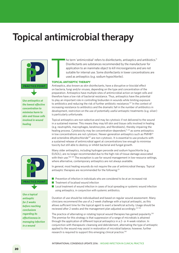## **Topical antimicrobial therapy**



*Use antiseptics at the lowest effective concentration to minimise harm to skin and tissue cells involved in wound healing*

he term 'antimicrobial' refers to disinfectants, antiseptics and antibiotics.<sup>11</sup> Disinfectants are substances recommended by the manufacturer for application to an inanimate object to kill microorganisms and are not suitable for internal use. Some disinfectants in lower concentrations are used as antiseptics (e.g. sodium hypochlorite).

# T **TOPICAL ANTISEPTIC THERAPY**

Antiseptics, also known as skin disinfectants, have a disruptive or biocidal effect on bacteria, fungi and/or viruses, depending on the type and concentration of the preparation. Antiseptics have multiple sites of antimicrobial action on target cells and therefore have a low risk of bacterial resistance. Thus, antiseptics have the potential to play an important role in controlling bioburden in wounds while limiting exposure to antibiotics and reducing the risk of further antibiotic resistance.127 In the context of increasing resistance to antibiotics and the dramatic fall in the number of antibiotics in development, restriction on the use of potentially useful antiseptic treatments (e.g. silver) is particularly unfortunate.

Topical antiseptics are non-selective and may be cytotoxic if not delivered to the wound in a sustained manner. This means they may kill skin and tissue cells involved in healing (e.g. neutrophils, macrophages, keratinocytes, and fibroblasts), thereby impairing the healing process. Cytotoxicity may be concentration-dependent, $11, 23$  as some antiseptics in low concentrations are not cytotoxic. Newer-generation antiseptics such as PMHB<sup>23</sup> and octenidine dihydrochloride<sup>107</sup> are non-cytotoxic. It is essential to use products with a sustained release of antimicrobial agent at concentrations low enough to minimise toxicity but still able to destroy or inhibit bacterial and fungal growth.

Many older antiseptics, including hydrogen peroxide and sodium hypochlorite (e.g. EUSOL), are no longer recommended due to the high risk of tissue damage associated with their use.<sup>128, 129</sup> The exception is use for wound management in low-resource settings, where alternative, contemporary antiseptics are not always available.

In general, most healing wounds do not require the use of antimicrobial therapy. Topical antiseptic therapies are recommended for the following:<sup>23</sup>

**PRACTICE POINT PPP** 

*Use a topical antiseptic for 2 weeks before reaching conclusions regarding its effectiveness in managing infection in a wound*

- $\blacksquare$  Prevention of infection in individuals who are considered to be at an increased risk
- $\blacksquare$  Treatment of localised wound infection
- $\blacksquare$  Local treatment of wound infection in cases of local spreading or systemic wound infection using antiseptics, in conjunction with systemic antibiotics.

Duration of use should be individualised and based on regular wound assessment. Many clinicians recommend the use of a 2-week challenge with a topical antiseptic, as this allows sufficient time for the topical agent to exert a beneficial activity. Usage should be reviewed after 2 weeks and the management plan adjusted accordingly.<sup>23, 103</sup>

The practice of alternating or rotating topical wound therapies has gained popularity.130 The premise for this strategy is that suppression of a range of microbials is attained through the application of different topical antiseptics in a 2- or 4-week rotation. In conjunction with therapeutic cleansing and debridement, alternating the type of antiseptic applied to the wound may assist in restoration of microbial balance; however, further research is required to support this emerging clinical practice.130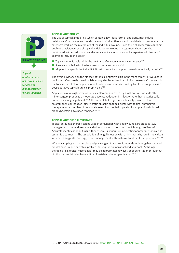

*Topical antibiotics are not recommended for general management of wound infection* 

#### **TOPICAL ANTIBIOTICS**

The use of topical antibiotics, which contain a low-dose form of antibiotic, may induce resistance. Controversy surrounds the use topical anitbiotics and the debate is compounded by extensive work on the microbiota of the individual wound. Given the global concern regarding antibiotic resistance, use of topical antibiotics for wound management should only be considered in infected wounds under very specific circumstances by experienced clinicians.<sup>131</sup> Examples include the use of:

- $\blacksquare$  Topical metronidazole gel for the treatment of malodour in fungating wounds<sup>132</sup>
- Silver sulphadiazine for the treatment of burns and wounds<sup>130</sup>
- $\blacksquare$  Mupirocin, a specific topical antibiotic, with no similar compounds used systemically or orally.<sup>133</sup>

The overall evidence on the efficacy of topical antimicrobials in the management of wounds is confusing. Most use is based on laboratory studies rather than clinical research. Of concern is the topical use of chloramphenicol ophthalmic ointment used widely by plastic surgeons as a post-operative topical surgical prophylaxis.134

Application of a single dose of topical chloramphenicol to high-risk sutured wounds after minor surgery produces a moderate absolute reduction in infection rate that is statistically, but not clinically, significant.<sup>134</sup> A theoretical, but as yet inconclusively proven, risk of chloramphenicol-induced idiosyncratic aplastic anaemia exists with topical ophthalmic therapy. A small number of non-fatal cases of suspected topical chloramphenicol-induced blood dyscrasia have been reported.135, 136

#### **TOPICAL ANTIFUNGAL THERAPY**

Topical antifungal therapy can be used in conjunction with good wound care practice (e.g. management of wound exudate and other sources of moisture in which fungi proliferate). Accurate identification of fungi, although rare, is imperative in selecting appropriate topical and systemic treatment.<sup>137</sup> The association of fungal infection with a high mortality rate in individuals with burns suggests more aggressive management with systemic treatment is appropriate.<sup>138, 139</sup>

Wound sampling and molecular analysis suggest that chronic wounds with fungal-associated biofilm have unique microbial profiles that require an individualised approach. Antifungal therapies (e.g. topical miconazole) may be appropriate; however, poor penetration throughout biofilm that contributes to selection of resistant phenotypes is a risk.15, 140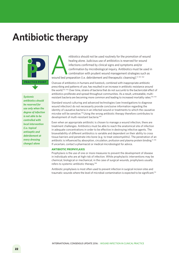## **Antibiotic therapy**



*Systemic antibiotics should be reserved for use only when the degree of infection is not able to be controlled with local intervention (i.e. topical antiseptic and debridement at every dressing change) alone*

ntibiotics should not be used routinely for the promotion of wound<br>healing alone. Judicious use of antibiotics is reserved for wound<br>infections confirmed by clinical signs and symptoms and/or<br>confirmation by microbiologica healing alone. Judicious use of antibiotics is reserved for wound infections confirmed by clinical signs and symptoms and/or confirmation by microbiological inquiry. Antibiotics must be used in combination with prudent wound management strategies such as

Overuse of antibiotics in humans and livestock, combined with inappropriate antibiotic prescribing and patterns of use, has resulted in an increase in antibiotic resistance around the world.<sup>142, 143</sup> Over time, strains of bacteria that do not succumb to the bactericidal effect of antibiotics proliferate and spread throughout communities. As a result, untreatable, multiresistant bacteria are becoming more common and leading to increased mortality rates.<sup>143, 144</sup>

Standard wound culturing and advanced technologies (see Investigations to diagnose wound infection) do not necessarily provide conclusive information regarding the identity of causative bacteria in an infected wound or treatments to which the causative microbe will be sensitive.<sup>141</sup> Using the wrong antibiotic therapy therefore contributes to development of multi-resistant bacteria.<sup>144</sup>

Even when an appropriate antibiotic is chosen to manage a wound infection, there are treatment challenges. Antibiotics must be able to reach the anatomical site of infection in adequate concentrations in order to be effective in destroying infective agents. The bioavailability of different antibiotics is variable and dependent on their ability to cross tissue barriers and penetrate into bone (e.g. to treat osteomyelitis). The penetration of an antibiotic is influenced by absorption, circulation, profusion and plasma protein binding.<sup>11, 145</sup> If uncertain, contact a pharmacist or medical microbiologist for advice.

#### **ANTIBIOTIC PROPHYLAXIS**

Prophylaxis is the use of one or more measures to prevent the development of disease in individuals who are at high risk of infection. While prophylactic interventions may be chemical, biological or mechanical, in the case of surgical wounds, prophylaxis usually refers to systemic antibiotic therapy.146

Antibiotic prophylaxis is most often used to prevent infection in surgical incision sites and traumatic wounds where the level of microbial contamination is expected to be significant.54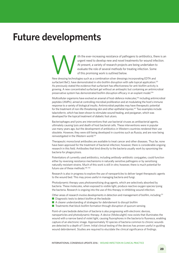### **Future developments**

The the ever-increasing resistance of pathogens to antibiotics, there is an urgent need to develop new and novel treatments for wound infection.<br>At present, a variety of research projects are being undertaken to evaluate t urgent need to develop new and novel treatments for wound infection. At present, a variety of research projects are being undertaken to evaluate the role of several methods for treating infection. Some of this promising work is outlined below.

New dressing technologies such as a combination silver dressings incorporating EDTA and surfactant BeCL have demonstrated *in vitro* biofilm disruption with safe topical application.125 As previously stated the evidence that surfactant has effectiveness for anti-biofilm activity is growing. A new concentrated surfactant gel without an antiseptic but containing an antimicrobial preservative system has demonstrated biofilm disruption efficacy in an explant model.<sup>106</sup>

Multicellular organisms have evolved an arsenal of host-defence molecules,<sup>106</sup> including antimicrobial peptides (AMPs), aimed at controlling microbial proliferation and at modulating the host's immune response to a variety of biological insults. Antimicrobial peptides may have therapeutic potential for the treatment of non-life-threatening skin and other epithelial injuries.<sup>147</sup> Two examples include talactoferrin, which has been shown to stimulate wound healing, and pexiganan, which was developed for the topical treatment of diabetic foot ulcers.

Bacteriophages and lysins are interventions that use bacterial viruses as antibacterial agents, ultimately causing lysis and death of host bacterial cells. These interventions were in popular use many years ago, but the development of antibiotics in Western countries rendered their use obsolete. However, they were still being developed in countries such as Russia, and are now being reinvestigated in the Western world.103

Therapeutic monoclonal antibodies are available to treat cancer and other diseases. Thus far, none have been approved for the treatment of bacterial infection; however, there is considerable ongoing research in this field. Antibodies that bind directly to the bacteria usually work by opsonising the bacteria for phagocytosis.

Potentiators of currently used antibiotics, including antibody–antibiotic conjugates, could function either by reversing resistance mechanisms in naturally sensitive pathogens or by sensitising naturally resistant strains. Much of this work is still *in vitro*; however, there is much potential for future use of these methods.<sup>148, 150</sup>

Research is also in progress to explore the use of nanoparticles to deliver target therapeutic agents to the wound bed. This may prove useful in managing bacteria and fungi.

Photodynamic therapy uses photosensitising drug agents, which are selectively absorbed by bacteria. These molecules, when exposed to visible light, produce reactive oxygen species lysing the bacteria. Research is ongoing into the use of this therapy in inhibiting wound infection.

Other areas of research involve developments in detection and management of biofilm, including:<sup>151</sup>  $\blacksquare$  Diagnostic tests to detect biofilm at the bedside

- $\blacksquare$  A clearer understanding of strategies for debridement to disrupt biofilm
- $\blacksquare$  Treatments that block biofilm formation through disruption of quorum sensing.

Point-of-care bedside detection of bacteria is also progressing with electronic devices, nanoparticles and photodynamic therapy. A device (Moleculight) now exists that illuminates the wound with a narrow band of violet light, causing fluorophores in the bacteria to fluoresce, enabling capture of an electronic image. Approximately 10 species of bacteria common to chronic wounds are detected to a depth of 1.5mm. Initial clinical testing of the devices has proven useful in guiding wound debridement. Studies are required to elucidate the clinical significance of findings.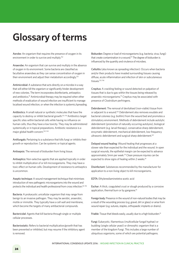# **Glossary of terms**

Aerobe: An organism that requires the presence of oxygen in its environment in order to survive and multiply.152

Anaerobe: An organism that can survive and multiply in the absence of oxygen in its environment. Some bacteria are classified as facultative anaerobes as they can sense concentration of oxygen in their environment and adjust their metabolism accordingly.152

Antimicrobial: A substance that acts directly on a microbe in a way that will either kill the organism or significantly hinder development of new colonies. The term incorporates disinfectants, antiseptics and antibiotics.<sup>91</sup> Antimicrobial therapy may be required when other methods of eradication of wound infection are insufficient to manage localised wound infection, or when the infection is systemic/spreading.

Antibiotics: A small natural or synthetic molecules that have the capacity to destroy or inhibit bacterial growth.153, 154 Antibiotics target specific sites within bacterial cells while having no influence on human cells, thus they have a low toxicity. They may be administered systemically or in topical preparations. Antibiotic resistance is a major global health concern.143, 144

Antifungals: Pertaining to a substance that kills fungi or inhibits their growth or reproduction. Can be systemic or topical agents.

Antisepsis: The removal of bioburden from living tissue.

Antiseptics: Non-selective agents that are applied topically in order to inhibit multiplication of or kill microorganisms. They may have a toxic effect on human cells. Development of resistance to antiseptics is uncommon.

Aseptic technique: A wound management technique that minimises introduction of new pathogenic microorganisms into the wound and protects the individual and health professional from cross infection.<sup>40, 155</sup>

Bacteria: A prokaryotic unicellular organism that may range from benign to an invasive pathogen. They may be aerobic, anaerobic, motile or immotile. They typically have a cell wall and membrane, which become the targets of many antibacterial compounds.

Bactericidal: Agents that kill bacteria through single or multiple cellular processes.

Bacteriostatic: Refers to bacterial multiplication/growth that has been prevented or inhibited, but may resume if the inhibitory agent is removed.

Bioburden: Degree or load of microorganisms (e.g. bacteria, virus, fungi) that create contamination in a wound.<sup>91</sup> The degree of bioburden is influenced by the quantity and virulence of microbes.

Cellulitis (also known as spreading infection): Occurs when bacteria and/or their products have invaded surrounding tissues causing diffuse, acute inflammation and infection of skin or subcutaneous tissues.153, 156

Crepitus: A crackling feeling or sound detected on palpation of tissues that is due to gas within the tissues being released by anaerobic microorganisms.<sup>91</sup> Crepitus may be associated with presence of Clostridium perfringens.

Debridement: The removal of devitalised (non-viable) tissue from or adjacent to a wound.<sup>154</sup> Debridement also removes exudate and bacterial colonies (e.g. biofilm) from the wound bed and promotes a stimulatory environment. Methods of debridement include autolytic debridement (promotion of naturally occurring autolysis), biological debridement (e.g. larval therapy), conservative sharp debridement, enzymatic debridement, mechanical debridement, low-frequency ultrasonic debridement and surgical sharp debridement.<sup>157</sup>

Delayed wound healing: Wound healing that progresses at a slower rate than expected for the individual and the wound. In open surgical wounds, the epithelial margin can be expected to advance approximately 5mm per week.<sup>33</sup> Clean pressure injuries can be expected to show signs of healing within 2 weeks.<sup>91</sup>

Disinfectant: Substances recommended by the manufacturer for application to a non-living object to kill microorganisms.

EDTA: Ethylenediaminetetra-acetic acid

Eschar: A thick, coagulated crust or slough produced by a corrosive application, thermal burn or by gangrene.<sup>91</sup>

Foreign body: Presence in the wound of non-natural bodies that may be a result of the wounding process (e.g. gravel, dirt or glass) or arise from wound repair (e.g. sutures, staples, orthopaedic implants or drains).

Friable: Tissue that bleeds easily, usually due to a high bioburden.<sup>91</sup>

Fungi: Eukaryotic, filamentous (multicellular fungal hyphae) or budding (single cellular yeast) or dimorphic organism that is a member of the kingdom Fungi. This includes a large number of ubiquitous organisms, some of which are potential pathogens.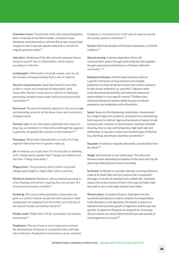Granulation tissue: The pink/red, moist, shiny tissue that glistens and is composed of new blood vessels, connective tissue, fibroblasts, and inflammatory cells that fills an open wound when it begins to heal. It typically appears deep pink or red with an irregular, granular surface.153

Induration: Hardening of the skin and subcutaneous tissues around a wound<sup>91</sup> due to inflammation, which may be secondary to infection.

Lymphangitis: Inflammation of lymph vessels, seen as red skin streaks running proximally from a site of infection.

Necrotic tissue/necrosis: Dead (devitalised) tissue that is dark in colour and comprised of dehydrated, dead tissue cells. Necrotic tissue acts as a barrier to healing by preventing complete tissue repair and promoting microbial colonisation.158

Periwound: The area immediately adjacent to the wound edge and extending out as far as the tissue colour and consistency changes extend.

Persister cells: A cell that resists a generally toxic level of a drug (e.g. an antibiotic) or intervention although the organism is generally not genetically resistant to the treatment.<sup>159</sup>

Phenotype: Observable characteristics or traits of a living organism that arise from its genetic make-up.

pH: A measure on a scale from 0 to 14 of acidity or alkalinity, with 7 being neutral, greater than 7 being more alkaline and less than 7 being more acidic.<sup>91</sup>

Phagocytosis: The process by which certain living cells (phagocytes) engulf or ingest other cells or particles.

Planktonic bacteria: Planktonic cells are bacteria growing in a free-floating environment, meaning they are not part of a structured community or biofilm.<sup>47</sup>

Pocketing: This occurs when granulation tissue does not grow in a uniform manner across the entire wound or when healing does not progress from the bottom up to the top of the wound. Pockets can harbour bacteria.<sup>91</sup>

Potable water: Water that is fit for consumption by humans and animals.91

Prophylaxis: The use of one or more measures to prevent the development of disease in susceptible hosts with high risk of infection. Prophylactic interventions can be chemical, biological or mechanical, but in the case of surgical wounds are usually systemic antibiotics.<sup>146</sup>

Pyrexia: Abnormal elevation of the body temperature, or a febrile condition.160

Quorum sensing: A density-dependent cell-to-cell communication system through small molecules that regulates the gene expressions and behaviour of bacteria within the community.47, 161

Resistance/tolerance: Antimicrobial resistance refers to a specific mechanism of drug resistance; for example, production of a beta-lactamase enzyme that confers resistance to beta-lactam antibiotics (i.e. penicillin). Tolerance refers to the decreased susceptibility and enhanced tolerance to antimicrobials in a non-specific manner.143 Biofilms have enhanced tolerance to antimicrobials because of reduced penetration and metabolism within the biofilm.

Sepsis: Sepsis is a life-threatening complication, characterised by a range of signs and symptoms, arising from an overwhelming host response to infection. Signs and symptoms of sepsis include excessive pain; confusion or disorientation; shortness of breath; shivering, fever or very cold temperature; high heart rate; and clamminess. It may also include more localised signs of infection (e.g. diarrhoea, sore throat, respiratory symptoms).162

Sequester: To detach or separate abnormally a small portion from the whole.<sup>160</sup>

Slough: Soft avascular or non-viable tissue. The colour and thickness varies depending on hydration of the tissue and may be obscuring underlying structures or tunnelling.

Surfactant: Surfactant is a complex naturally occurring substance made of six lipids (fats) and four proteins that is produced in the lungs. It can also be manufactured synthetically. Surfactant reduces the surface tension of fluid in the lungs and helps make the small air sacs in the lungs (alveoli) more stable.

Wound culture: A sample of tissue or fluid taken from the wound bed and placed in a sterile container for transportation to the laboratory. In the laboratory, the sample is placed in a substance that promotes growth of organisms and the type and quantity of organisms that grow are assessed by microscopy. Wound cultures are used to determine the type and quantity of microorganisms in a wound.163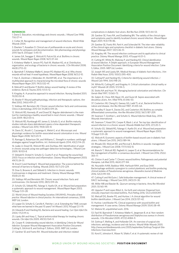#### **REFERENCES**

1. Davis E. Education, microbiology and chronic wounds. *J Wound Care* 1998; 7(6):27–4.

2. Collier M. Recognition and management of wound infections. *World Wide Wounds* 2004.

3. Eberlein T, Assadian O. Clinical use of polihexanide on acute and chronic wounds for antisepsis and decontamination. *Skin pharmacology and physiology* 2010 Sep 8; 23(Suppl. 1):45–51.

4. James GA, Swogger E, Wolcott R, Pulcini Ed, et al. Biofilms in chronic wounds. *Wound Repair Regen* 2008; 16(1):37–44.

5. Kirketerp-Møller K, Jenson PO, Fazli M, Madsen KG, et al. Distribution, organization, and ecology of bacteria in chronic wounds. *J Clin Microbiol* 2008; 46(8):2712–22.

6. Bjarnsholt T, Kirketerp-Møller K, Jensen PO, Madsen KG, et al. Why chronic wounds will not heal: A novel hypothesis. *Wound Repair Regen* 2008; 16(1):2–10.

7. Han A, Zenilman J, Melendez JH, Shirtliff ME, et al. The importance of a multifaceted approach to characterizing the microbial flora of chronic wounds *Wound Repair Regen* 2011; 19(5):532–41.

8. Metcalf D and Bowler P. Biofilm delays wound healing: A review of the evidence. *Burns & Trauma* 2013; 1(1):5–12.

9. Kingsley A. A proactive approach to wound infection. *Nursing Standard* 2001; 15(30):50–8.

10. Bowler P. Wound pathophysiology, infection and therapeutic options. *Ann Med* 2002; 34(6):419–27.

11. Siddiqui AR, Bernstein JM. Chronic wound infection: facts and controversies. *Clinics in dermatology* 2010 Oct 31;28(5):519–26.

12. Wolcott RD, Kennedy JP, and Dowd SE. Regular debridement is the main tool for maintaining a healthy wound bed in most chronic wounds. *J Wound Care* 2009; 18(2):54–6.

13. Wolcott RD, Rumbaugh KP, James G, Schultz G, et al. Biofilm maturity studies indicate sharp debridement opens a time-dependent therapeutic window. *J Wound Care* 2010; 19(8):320–8.

14. Davis SC, Ricotti C, Cazzaniga A, Welsh E, et al. Microscopic and physiologic evidence for biofilm-associated wound colonization *in vivo*. *Wound Repair Regen* 2008; 16(1):23–9.

15. Ramage G, Robertson SN, and Williams C. Strength in numbers: antifungal strategies against fungal biofilms. *Int J Antimicrob Agents* 2014; 43(2):114–20.

16. Leake JJ, Dowd SE, Wolcott RD, and Zischkau AM. Identification of yeast in chronic wounds using new pathogen-detection technologies. *J Wound Care* 2009; 18:103–8.

17. Sibbald R, Orsted H, Schultz G, Coutts P, et al. Preparing the wound bed 2003: Focus on infection and inflammation. *Ostomy Wound Management* 2003; 49(11):24–51.

18. Enoch S and Harding K. Wound bed preparation: The science behind the removal of barriers to healing. *Wounds* 2003; 15(7):213–229.

19. Dow G, Browne A, and Sibbald G. Infection in chronic wounds: Controversies in diagnosis and treatment. *Ostomy Wound Manage* 1999; 45(8):23–40.

20. Siddiqui AR and Bernstein JM. Chronic wound infection: Facts and controversies. *Clin Dermatol* 2010; 28(5):519–26.

21. Schultz GS, Sibbald RG, Falanga V, Ayello EA, et al. Wound bed preparation: a systematic approach to wound management. *Wound Repair Regen* 2003; 11(Supp 1):S1–28.

22. World Union of Wound Healing Societies (WUWHS), *Principles of best practice: Wound infection in clinical practice*. An international consensus, 2008. MEP Ltd, London.

23. Leaper DJ, Schultz G, Carville K, Fletcher J, et al. Extending the TIME concept: what have we learned in the past 10 years? *Int Wound J* 2012; 9(Suppl 2):1–19.

24. Edwards R and Harding KG, Bacteria and wound healing. *Curr Opin Infect Dis* 2004; 17(2):91–6.

25. Lipsky BA and Hoey C, Topical antimicrobial therapy for treating chronic wounds. *Clin Infect Dis* 2009; 49(10):1541–9.

26. Cooper R. *Understanding wound infection, in Identifying Criteria for Wound Infection*. European Wound Management Association Position Document. Cutting K, Gilchrist B, and Gottrup F, Editors, 2005. MEP Ltd, London.

27. Gardner SE and Frantz RA. Wound bioburden and infection-related

complications in diabetic foot ulcers. *Biol Res Nurs* 2008; 10(1):44–53.

28. Gardner SE, Franz RA, and Doebbeling BN. The validity of the clinical signs and symptoms used to identify localized chronic wound infection. *Wound Repair Rege*n 2001; 9(3):178–86.

29. Gardner SE, Frantz RA, Park H, and Scherubel M. The inter-rater reliability of the clinical signs and symptoms checklist in diabetic foot ulcers. *Ostomy Wound Manage* 2007; 53(1):46–51.

30. Kingsley AR. The wound infection continuum and its application to clinical practice. *Ostomy Wound Manage* 2003; 47(suppl A):S1–S.

31. Cutting KF, White RJ, Maloney P, and Harding KD. *Clinical identification of wound infection*. A Delphi approach, in European Wound Management Association Position Document: Identifying criteria for wound infection. Calne S, Editor, 2005. MEP Ltd, London.

32. Joseph WS and Lipsky BA. Medical therapy of diabetic foot infections. *J Am Podiatr Med Assoc* 2010; 100(5):395–400.

33. Cutting KF and Harding KG, Criteria for identifying wound infection. *J Wound Care* 1994; 3(4):198–20.

34. White RJ, Cutting KF, and Kingsley A. Critical colonisation: clinical reality or myth? *Wounds UK* 2005; 1(1):94–5.

35. Stotts NA and Hunt TK. Managing bacterial colonization and infection. *Clin Geriatr Med* 1997; 13:565–73.

36. Galpin JE, Chow AW, Bayer AS, and Guze LB. Sepsis associated with decubitus ulcers. *Am J Med* 1976; 61:346–50.

37. Costerton JW, Cheng KJ, Geesey GG, Ladd TI, et al., Bacterial biofilms in nature and disease. *Ann Rev Microiol* 1987; 41:435–64.

38. Stoodley P, Sauer K, Davies DG, and Costerton JW, Biofilms as complex differentiated communities. *Ann Rev Microbiol* 2002; 56(1):187–209.

39. Swanson T, Grothier L, and Schultz G. *Wound Infection Made Easy*, 2014. Wounds International.

40. Swanson T, Keast DH, Cooper R, Black J, et al. Ten top tips: identification of wound infection in a chronic wound. *Wounds Middle East* 2015; 2(1):20–5.

41. Schultz GS, Sibbald RG, Falanga V, Ayello EA, et al. Wound bed preparation: a systematic approach to wound management. *Wound Repair Regen* 2003; 11(Suppl 1):S1–28.

42. Wolcott R, Economic aspects of biofilm-based wound care in diabetic foot ulcers. *J Wound Care* 2015; 24(5):189–94.

43. Rhoads DD, Wolcott RD, and Percival S, Biofilms in wounds: management strategies. *J Wound Care* 2008; 17(11):502–8.

44. Bianchi T, Wolcott RD, Peghetti A, Leaper D, et al. Recommendations for the management of biofilm: a consensus document. *J Wound Care* 2016; 25(6): 305–17.

45. Clinton A and Carter T. Chronic wound biofilms: Pathogenesis and potential therapies. *Lab Med* 2015; 46(4):277–84.

46. Nouraldin AAM, Baddour MM, Harfoush RAH, and Essa SAM. Bacteriophage-antibiotic synergism to control planktonic and biofilm producing clinical isolates of Pseudomonas aeruginosa. *Alexandria Journal of Medicine* 2016; 52(2):99–105.

47. Cutting K and McGuire J. Safe bioburden management. A clinical review of DACC technology. *J Wound Care* 2015; 24(5):S1–30.

48. Miller MB and Bassler BL. Quorum sensing in bacteria. *Annu Rev Microbiol* 2001; 55:165–99.

49. Uppuluri P and Lopez-Ribot JL. Go forth and colonize: Dispersal from clinically important microbial biofilms. *PLoS Pathog* 2016; 12(2):e1005397.

50. Metcalf DG, Bowler PG, and Hurlow J. A clinical algorithm for wound biofilm identification. *J Wound Care* 2014; 23(3):137–42.

51. Hurlow J and Bowler PG. Clinical experience with wound biofilm and management: A case series. *Ostomy Wound Manage* 2009; 55(4):38–49.

52. Malone M, unpublished work. 2016.

53. Fazil M, Bjarnsholt T, Kirketerp-Møller K, Jørgensen B, et al. Non-random distribution of Pseudomonas aeruginosa and Staplyloccous aureus in chronic wounds. *J Clin Microbiol* 2009; 47(12):4084–9.

54. Gottrup F, Melling A, and Hollander DA. An overview of surgical site infections: aetiology, incidence and risk factors. *Wourld Wide Wounds* 2005. http://www.worldwidewounds.com/2005/september/Gottrup/Surgical-Site-Infections-Overview.html.

55. Korol E, Johnston K, Waser N, Sifakis F, et al. A systematic review of risk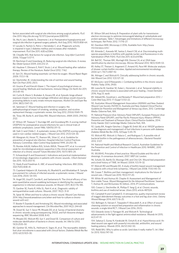factors associated with surgical site infections among surgical patients. *PLoS One* 2013. http://dx.doi.org/10.1371/journal.pone.0083743.

56. Ata A, Lee J, Bestle SL, Desemone J, et al. Postoperative hyperglycemia and surgical site infection in general surgery patients. *Arch Surg* 2010; 145(9):858–64.

57. Lecube A, Pachón G, Petriz J, Hernández C, et al. Phagocytic activity is impaired in type 2 diabetes mellitus and increases after metabolic improvement. *PLoS One* 2011; 6(8):e23366.

58. Cheadle WG. Risk factors for surgical site infection. *Surg Infect* (Larchmt) 2006; 7(Suppl 1):S7-11.

59. Reichman D and Greenberg JA, Reducing surgical site infections: A review. *Rev Obstet Gynecol* 2009; 2(4):212–21.

60. Haubner F, Ohmann E, Pohl F, Strutz J, et al. Wound healing after radiation therapy: Review of the literature. *Radiat Oncol* 2012; 7:162.

61. Sen CK, Wound healing essentials: Let there be oxygen. *Wound Repair Regen* 2009; 17(1):1–18.

62. Stechmiller JK, Understanding the role of nutrition and wound healing. *Nutr Clin Pract* 2010; 25(1).

63. Gouina JP and Kiecolt-Glaser J. The impact of psychological stress on wound healing: Methods and mechanisms. *Immunol Allergy Clin North Am* 2011; 31(1):81–93.

64. Curtis B, Hlavin S, Brubaker A, Kovacs ER, et al. Episodic binge ethanol exposure impairs murine macrophage infiltration and delays would closure by promoting defects in early innate immune responses. *Alcohol Clin and Exper Res* 2014; 38(5):1347–55.

65. Sørensen LT. Wound healing and infection in surgery: the pathophysiological impact of smoking, smoking cessation, and nicotine replacement therapy: a systematic review. *Ann Surg* 2012; 255(6):1069–79.

66. Torpy JM, Burke A, and Glass RM, Wound Infections. *JAMA* 2005; 294(16): 2122.

67. Wilson AP, Treasure T, Sturridge MF, and Gruneberg RN. A scoring method (ASEPSIS) for postoperative wound infections for use in clinical trials of antibiotic prophylaxis. *Lancet* 1986; 1(8476):311–13.

68. Siah CJ and Childs C. A systematic review of the ASEPSIS scoring system used in non-cardiac-related surgery. *J Wound Care* 2012; 21(3):124–30.

69. Mangram AJ, Horan TC, Pearson ML, Silver LC, et al. Guideline for prevention of surgical site infection. Hospital Infection Control Practices Advisory Committee. *Infect Control Hosp Epidemiol* 1999; 20:250–78.

70. Rondas AALM, Halfens RJG, Schols JMGA, Thiesen KPT, et al. Is a wound swab for microbiological analysis supportive in the clinical assessment of infection of a chronic wound? *Future Microbiol* 2015; 10(11):1815–24.

71. Schwarzkopf A and Dissemond J. Indications and practical implementation of microbiologic diagnostics in patients with chronic wounds. *J Dtsch Dermatol Ges* 2015. 13(3):203–10.

72. Healy B and Freedman A. ABC of wound healing: Infections. *BMJ* 2006; 332(7545):838–41.

73. Copeland-Halperin LR, Kaminsky AJ, Bluefeld N, and Miraliakbari R. Sample procurement for cultures of infected wounds: a systematic review. *J Wound Care* 2016; 25(4): S4–S10.

74. Angel DE, Lloyd P, Carville K, and Santamaria N. The clinical efficacy of two semi-quantitative wound-swabbing techniques in identifying the causative organism(s) in infected cutaneous wounds. *Int Wound J* 2011; 8(2):176–185.

75. Gardner SE, Frantz R, Hillis SL, Park H, et al., Diagnostic validity of semiquantitative swab cultures. Wounds, 2007. 19(2): 31-8

76. Spear M, When and how to culture a chronic wound. Wound Care Advisor, 2014. http://woundcareadvisor.com/when-and-how-to-culture-a-chronicwound-vol3-no1/.

77. Bowler P, Duerden B, and Armstrong DG, Wound microbiology and associated approaches to wound management. Clin Microbiol Rev, 2001 14(2): 244-69.

78. Dowd SE, Sun Y, Secor PR, Rhoads DD, et al. Survey of bacterial diversity in chronic wounds using pyrosequencing, DGGE, and full ribosome shotgun sequencing. *BMC Microbiol* 2008; 8:43.

79. Rhoads DD, Wolcott RD, Sun Y, and Dowd SE. Comparison of culture and molecular identification of bacteria in chronic wounds. *Int J Mol Sci* 2012; 13(3):2535–50.

80. Gardner SE, Hillis SL, Heilmann K, Segre JA, et al. The neuropathic diabetic foot ulcer microbiome is associated with clinical factors. *Diabetes Metab Res Rev* 2013; 62(3):923–30.

81. Wilson SM and Antony B. Preparation of plant cells for transmission electron microscopy to optimize immunogold labeling of carbohydrate and protein epitopes, Table 1: Advantages and limitations of different microscopy techniques. *Nat Protoc* 2012; 7:1716–27.

82. Davidson MW. *Microscopy U* 2016; Available from: http://www. microscopyu.com/.

83. Almeida C, Azevedo NF, Santos S, Keevil CW, et al. Discriminating multispecies populations in biofilms with peptide nucleic acid fluorescence in situ hybridization (PNA FISH). *PLoS One* 2011; 6(3):e14786.

84. Bell DC, Thomas WK, Murtagh KM, Dionne CA, et al. DNA base identification by electron microscopy. *Microsc Microanal* 2012; 18(5):1049–53.

85. Kelley ST, Theisen U, Angenent LT, Amand AS, Pace NR. Molecular analysis of shower curtain biofilm microbes. *Applied and environmental microbiology* 2004 Jul 1; 70(7):4187–92.

86. Attinger C and Wolcott R. Clinically addressing biofilm in chronic wounds. *Adv Wound Care* 2012; 1(3):127–32.

87. McGuire J and D'Alessandro J. Combating biofilms in the chronic wound. *Podiatry Today* 2016; 29(8).

88. Loesche M, Gardner SE, Kalan L, Horwinski J, et al. Temporal stability in chronic wound microbiota is associated with poor healing. *J Invest Dermatol*  2016; Aug 23, epub.

89. Sibbald RG, Goodman L, and Reneeka P. Wound bed preparation 2012. *J Cutan Med Surg* 2013; 17 (Suppl 1):S12–22.

90. Australian Wound Management Association (AWMA) and New Zealand Wound Care Society (NZWCS), Australia and New Zealand *Clinical Practice Guideline for Prevention and Management of Venous Leg Ulcers*, 2012. Cambridge Media: Osborne Park, WA.

91. National Pressure Ulcer Advisory Panel (NPUAP), European Pressure Ulcer Advisory Panel (EPUAP), and Pan Pacific Pressure Injury Alliance (PPPIA), *Prevention and Treatment of Pressure Ulcers: Clinical Practice Guideline*, 2014: Emily Haesler (Ed) Cambridge Media: Osborne Park, WA.

92. Lipsky BA, Aragón-Sánchez J, Diggle M, Embil JM, et al. IWGDF guidance on the diagnosis and management of foot infections in persons with diabetes. *Diabetes Metab Res Rev* 2016; 32(Supp 1):45–74.

93. Wolcott RD, Wolcott JJ, Palacio C, and Rodriguez S. A possible role of bacterial biofilm in the pathogenesis of atherosclerosis. *J Bacteriol Parasitol*  2012; 3:127.

94. National Health and Medical Research Council, Australian Guidelines for the Prevention and Control of Infection in Healthcare 2010. NHMRC, 2010 **Australia** 

95. WUWHS, Principles of best practice: Wound Exudate and the role of dressings. A consensus document, 2007. MEP Ltd. London.

96. Schultz GS, Barillo DJ, Mozingo DW, and Chin GA. Wound bed preparation and a brief history of TIME. *Int Wound J* 2004; 1(1):19–32.

97. Wolcott RD and Rhoads DD. A study of biofilm-based wound management in subjects with critical limb ischaemia. *J Wound Care* 2008; 17(4):145–55.

98. Cowan T. Biofilms and their management: implications for the future of wound care. *J Wound Care* 2010; 19(3):117–20.

99. White W and Asimus M. Chapter 8: Assessment and Management of Non-viable Tissue. *Wound Management for the Advanced Practitioner*. Swanson T, Asimus M, and McGuiness W, Editors. 2014, IP Communications.

100. Cowan LJ, Stechmiller JK, Phillips P, Yang Q, et al. Chronic wounds, biofilms and use of medicinal larvae. *Ulcers* 2013; article 487024.

101. Campbell N and Campbell D. A retrospective, quality improvement review of maggot debridement therapy outcomes in a foot and leg ulcer clinic. *Ostomy Wound Manage* 2014; 60(7):16–25.

102. Bellingeri A, Falciani F, Traspedini P, Moscatelli A, et al. Effect of wound cleansing solution on wound bed preparation and inflammation in chronic wounds: a single-blind RCT. *J Wound Care* 2016; 25(3).

103. Edwards-Jones V, Flanagan M, and Wolcott R. Technological advancements in the fight against antimicrobial resistance. *Wounds Int* 2015; 6(2):47–51.

104. Sakarya S, Gunay N, Karakulak M, Ozturk B, et al. Hypochlorous acid: An ideal wound care agent with powerful microbicidal, antibiofilm, and wound healing potency. *Wounds* 2014; 26(12):342–50.

105. Reddi BAJ. Why Is saline so acidic (and does it really matter?). *Int J Med Sci* 2013; 10(6):747–50.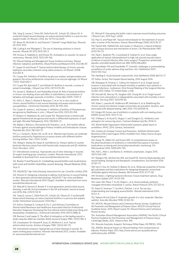106. Yang Q, Larose C, Porta AD, Della Porta AC, Schultz GS, Gibson DJ. A surfactant-based wound dressing can reduce bacterial bioflms in a porcine skin explant model. Int Wound J 2016; doi: 10.1111/iwj.12619.

107. Braun M, McGrath A, and Downie F. *Octenilin® range Made Easy*. Wounds UK 2013; 9(4).

108. Cutting K and Westgate S, The use of cleansing solutions in chronic wounds. *Wounds UK* 2012; 8(4):130–3.

109. Drosou A, Falabella A, and Kirsner RS, Antiseptics on wounds: An area of controversy. *Wounds* 2003; 15(5):149–166.

110. Wound Healing and Management Group, Evidence summary: Wound Infection: Iodophors and Biofilms. *Wound Practice and Research* 2013; 21(2):86–87.

111. Leaper DJ and Durani P. Topical antimicrobial therapy of chronic wounds healing by secondary intention using iodine products. *Int Wound J* 2008; 5(2):361–8.

112. Cooper RA. Inhibition of biofilms by glucose oxidase, lactoperoxidase and guaiacol: the active antibacterial component in an enzyme alginogel. *Int Wound J* 2013; 10(6):630–7.

113. Cooper RA, Bjarnsholt T, and Alhede M. Biofilms in wounds: a review of present knowledge. *J Wound Care* 2014; 23(11):570–80.

114. Suman E, Madhavi R, and Shashidhar Kotian M. Role of bacterial biofilms in chronic non-healing ulcers and effect of subinhibitory concentrations of betadine and hydrogen peroxide on biofilms. *J Hosp Infect* 2009; 73:87–9. 115. Hill K, E., Malic S, McKee R, Rennison T, et al. An in vitro model of chronic wound biofilms to test wound dressings and assess antimicrobial susceptibilities. *J Antimicrob Chemother* 2010; 65:1195–206.

116. Cooper R, Jenkins L, and Hooper S. Inhibition of biofilms of Pseudomonas aeruginosa by Medihoney in vitro. *J Wound Care* 2014; 23(3):93–104.

117. Roberts A, Maddocks SE, and Cooper RA. Manuka honey is bactericidal against Pseudomonas aeruginosa and results in differential expression of oprF and algD. *Microbial Pathogenicity* 2012; 158:3005–13.

118. Majtan J, Bohova J, Horniackova M, Klaudiny J, et al., Anti-biofilm effects of honey against wound pathogens Proteus mirabilis and Enterobacter cloacae. *Phytother Res* 2014; 28(1):69–75

119. Lu J, Turnbull L, Burke CM, Liu M, et al., Manuka-type honeys can eradicate biofilms produced by Staphylococcus aureus strains with different biofilmforming abilities. *Peer J* 2014; 2:e326.

120. Wang R, Starkey M, Hazan R, and Rahme LG, Honey's ability to counter bacterial infections arises from both bactericidal compounds and QS inhibition. Front. Microbiol., 2012.

121. International consensus. Appropriate use of silver dressings in wounds. An expert working group consensus. London: Wounds International, 2012. Available to download from: www.woundsinternational.com

122. Bowler P and Parsons D. Combatting wound biofilm and recalcitrance with novel anti-biofilm Hydrofiber wound dressing. *Wound Medicine* 2016; 14:6-11.

123. AQUACEL® Ag+ Extra Dressing. Instructions for use. ConvaTec Limited, 2016

124. Parsons D. Designing a dressing to address local barriers to wound healing. In: *Next-generation antimicrobial dressings: AQUACEL™ Ag+ Extra and Ribbon*. London. Wounds International 2014 (Suppl). Available to download from www. woundsinternational.com

125. Metcalf D, Parsons D, Bowler P. A next-generation antimicrobial wound dressing: a real-life clinical evaluation in the UK and Ireland. *Journal of wound care* 2016; Mar 2;25(3):132–8.

126. Yang Q, Larose C, Della Porta AC, Schultz GS, Gibson DJ. A surfactantĐ based wound dressing can reduce bacterial biofilms in a porcine skin explant model. *International wound journal.* 2016 May 1.

127. Ashiru-Oredope D, Cookson B, Fry C, and Advisory Committee on Antimicrobial Resistance and Healthcare Associated Infection Professional Education Subgroup, Developing the first national antimicrobial prescribing and stewardship competences. *J Antimicrob Chemother* 2014; 69(11):2886–8.

128. Brennan S and Leaper D. The effect of antiseptics on the healing wound: a study using the rabbit ear chamber. *British Journal of Surgery* 1985; 72(10):780–2. 129. Lineaweaver W, Howard R, Soucy D, McMorris S, et al. Topical antimicrobial toxicity. *Archives of Surgery* 1985; 120(3):267–70.

130. *International consensus: Appropriate use of silver dressings in wounds. An expert working group consensus*. Wounds International 2012. London. Available at: www.woundsinternational.com.

131. Wolcott R. Disrupting the bioflm matrix improves wound healing outcomes. J Wound Care. 2015 Aug 1; 24(8).

132. Paul JC and Pieper BA. Topical metronidazole for the treatment of wound odor: a review of the literature. *Ostomy Wound Manage* 2008; 54(3):18–27.

133. Parenti MA, Hatfield SM, and Leyden JJ. Mupirocin: a topical antibiotic with a unique structure and mechanism of action. *Clin Pharmacokinet* 1987; 6(10):761–70.

134. Heal C, Buettner PG, Cruickshank R, Graham D, et al. Does single application of topical chloramphenicol to high risk sutured wounds reduce incidence of wound infection after minor surgery? Prospective randomised placebo controlled double blind trial. *BMJ* 2009;338:a2812.

135. Fraunfelder FW and Fraunfelder FT. Scientific challenges in postmarketing surveillance of ocular adverse drug reactions. *Am J Ophthalmol* 2007; 143(1):145–9.e2.

136. Høvding G. Acute bacterial conjunctivitis. *Acta Ophthalmol* 2008; 86(1):5–17. 137. Editor. *Factors That Impede Wound Healing*. 2016 August 2016.

138. Rodriguez N, Finnerty C, Calhoun B, Hawkins H, et al. Fungal wound invasion is associated with increased mortality in pediatric burn patients in Surgical Infections. Conference: 32nd Annual Meeting of the Surgical Infection Society 2012: Dallas, TX United States. p.S36.

139. Horvath EE, Murray CK, Vaughan GM, Chung KK, et al. Fungal wound infection (not colonization) is independently associated with mortality in burn patients. *Ann Surg* 2007; 245:978–85.

140. Kalan L, Loesche M, Hodkinson BP, Heilmann K, et al. Redefining the chronic-wound microbiome: fungal communities are prevalent, dynamic, and associated with delayed healing. *mBio* 2016; 7(5):e01058–16.

141. Gürgen M, Excess use of antibiotics in patients with non-healing ulcers. *EWMA Journal* 2014; 14(1):17–22.

142. O'Meara S, Al-Kurdi D, Ologun Y, and Ovington LG. Antibiotics and antiseptics for venous leg ulcers. *Cochrane Database Syst Rev* 2014;(1).

143. *World Health Organization Antimicrobial resistance: global report on surveillance*. WHO, 2014. Geneva, Switzerland.

144. Centers for Disease Control and Prevention. *Antibiotic/Antimicrobial Resistance 2016* [cited August 2016]; Available from: https://www.cdc.gov/ drugresistance/.

145. Kiang TK, Häfeli UO, and Ensom MH. A comprehensive review on the pharmacokinetics of antibiotics in interstitial fluid spaces in humans: Implications on dosing and clinical pharmacokinetic monitoring. *Clin Pharmacokinet* 2014; 53(8):695–730.

146. Hall C, Allen J, and Barlow G. Antibiotic prophylaxis. *Surgery* 2015; 33(11):542–549.

147. Mangoni ML, McDermott AM, and Zasloff M. Antimicrobial peptides and wound healing: biological and therapeutic considerations. *Exp Dermatol* 2016; 25:167–73.

148. Irani V, Guy AJ, Andrew D, Beeson JG, et al., Molecular properties of human IgG subclasses and their implications for designing therapeutic monoclonal antibodies against infectious diseases. *Mol Immunol* 2015; 67:171–82.

149. Fernebro J, Fighting bacterial infections: Future treatment options. *Drug Resistance Updates* 2011; 14:125-139.

150. Lehar SM, Pillow T, Xu M, Staben L, et al. Novel antibody-antibiotic conjugate eliminates intracellular S. aureus. *Nature Protocols* 2015; 527:323–8.

151. Keast D, Swanson T, Carville K, Fletcher J, et al. Ten top tips... Understanding and managing wound biofilm. *Wounds International* 2014; 5(2):1–4.

152. Nakano M and Zuber P. Anaerobic growth of a 'stric anaerobe' (Bacillus subtilis). *Annu Rev Microbiol* 1998; 52:165–90.

153. WOCN, Wound Ostomy and Continence Nurses Society. *Guideline for the Prevention and Management of Pressure Ulcers*. WOCN Clinical Practice Guideline Series. 2010, Mount Laurel, NJ: Wound Ostomy and Continence Nurses Society.

154. Australian Wound Management Association (AWMA), Pan Pacific Clinical Practice Guideline for the Prevention and Management of Pressure Injury. Cambridge Media, 2012. Osborne Park, WA.

155. Wounds Australia, Asepetic Technique White Paper (IN PRESS). 2016.

156. AWMA, Bacterial Impact on Wound Healing: *From Contamination to Infection*. Position Paper 2011; http://www.awma.com.au/publications/ publications.php: AWMA.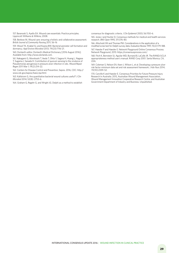157. Baranoski S, Ayello EA. Wound care essentials: Practice principles. Lippincott Williams & Wilkins; 2008.

158. Benbow M, Wound care: ensuring a holistic and collaborative assessment. *British Journal of Community Nursing* 2011; S6–16

159. Wood TK, Knabel SJ, and Kwana BW. Bacterial persister cell formation and dormancy. *Appl Environ Microbiol* 2013; 79(23):7116–21.

160. Dorland's editor. Dorland's Medical Dictionary [2016 August 2016]; Available from: http://www.dorlands.com.

161. Nakagami G, Morohoshi T, Ikeda T, Ohta Y, Sagara H, Huang L, Nagase T, Sugama J, Sanada H. Contribution of quorum sensing to the virulence of Pseudomonas aeruginosa in pressure ulcer infection in rats. *Wound Repair Regen* 2011 Mar 1; 19(2):214–22.

162. Centers for Disease Control and Prevention, Sepsis. 2016, CDC: http:// www.cdc.gov/sepsis/basic/qa.html.

163. Kallstrom G, Are quantitative bacterial wound cultures useful? *J Clin Microbiol* 2014; 52(8): 2753–6.

164. Graham G, Regehr G, and Wright JG. Delphi as a method to establish

consensus for diagnostic criteria. *J Clin Epidemiol* 2003; 56:1150–6.

165. Jones J and Hunter D, Consensus methods for medical and health services research. *BMJ Open* 1995; 311:376–80.

166. Altschuld JW and Thomas PM. Considerations in the application of a modified scree test for Delphi survey data. *Evaluation Review* 1991; 15(2):179–188.

167. Haesler P and Haesler E. Network Playground Online Consensus Process. Network Playground, 2015: https://consensusprocess.com/.

168. Fitch K, Bernstein SJ, Aguilar MD, Burnand B, LaCalle JR. The RAND/UCLA appropriateness method user's manual. RAND Corp 2001. Santa Monica, CA, USA.

169. Coleman S, Nelson EA, Keen J, Wilson L, et al. Developing a pressure ulcer risk factor minimum data set and risk assessment framework. *J Adv Nurs* 2014; 70(10):2339–52.

170. Carville K and Haesler E. Consensus Priorities for Future Pressure Injury Research In Australia. 2015, Australian Wound Management Association, Wound Management Innovation Cooperative Research Centre, and Australian Government Department of Industry and Business. Unpublished.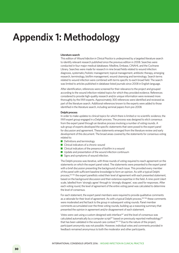### **Appendix 1: Methodology**

#### **Literature search**

This edition of *Wound Infection in Clinical Practice* is underpinned by a targeted literature search to identify relevant research published since the previous edition in 2008. Searches were conducted in four major medical databases: Medline, Embase, CINAHL and the Cochrane Library. Searches were made for research in nine broad fields related to wound infection: diagnosis, systematic/holistic management, topical management, antibiotic therapy, emerging research, terminology, biofilm management, wound cleansing and terminology. Search terms related to wound infection were combined with terms specific to each broad field. The search was limited to articles published in database-listed journals since 2008 in English language.

After identification, references were screened for their relevance to the project and grouped according to the wound infection-related topics for which they provided evidence. References considered to provide high-quality research and/or unique information were reviewed more thoroughly by the IWII experts. Approximately 300 references were identified and reviewed as part of the literature search. Additional references known to the experts were added to those identified in the literature search, including seminal papers from pre-2008.

#### **Delphi process**

In order to make updates to clinical topics for which there is limited or no scientific evidence, the IWII expert group engaged in a Delphi process. The process was designed to elicit consensus from the expert panel through an iterative process involving a number of voting rounds. A sub-group of experts developed the specific statements that were posed to the expert panel for discussion and agreement. These statements emerged from the literature review and early development of this document. The broad areas covered by the statements for consensus voting related to:

- $\blacksquare$  Definitions and terminology
- $\blacksquare$  Clinical indicators of a chronic wound
- $\blacksquare$  Clinical indicators of the presence of biofilm in a wound
- $\blacksquare$  Update and presentation of the wound infection continuum
- $\blacksquare$  Signs and symptoms of wound infection.

The Delphi process was iterative, with three rounds of voting required to reach agreement on the statements on which the expert panel voted. The statements were presented to the expert panel with a brief discussion presenting the background of each issue. This provided every member of the panel with sufficient baseline knowledge to form an opinion. As with a typical Delphi process,<sup>164-166</sup> the expert panellists voted their level of agreement with each presented statement, based on the background discussion and their extensive expertise in the field. A nine-point Likert scale, labelled from 'strongly agree' through to 'strongly disagree', was used for responses. After each voting round, the level of agreement of the entire voting panel was calculated to determine the level of consensus.

For each statement, the expert panel members were required to provide qualitative comments as a rationale for their level of agreement. As with a typical Delphi process,<sup>164-166</sup> these comments were moderated and fed back to the group in subsequent voting rounds. Panel member comments accumulated over the three voting rounds, building up a reasoning summary that presented the opinion in agreement and/or disagreement of each statement.

Votes were cast using a custom designed web interface<sup>167</sup> and the level of consensus was calculated automatically by a computer script<sup>167</sup> based on previously reported methodology<sup>167</sup> that has been validated in the wound care context.<sup>169, 170</sup> Due to the nature of the project, participant anonymity was not possible. However, individual votes and comments provided in feedback remained anonymous to both the moderator and other participants.